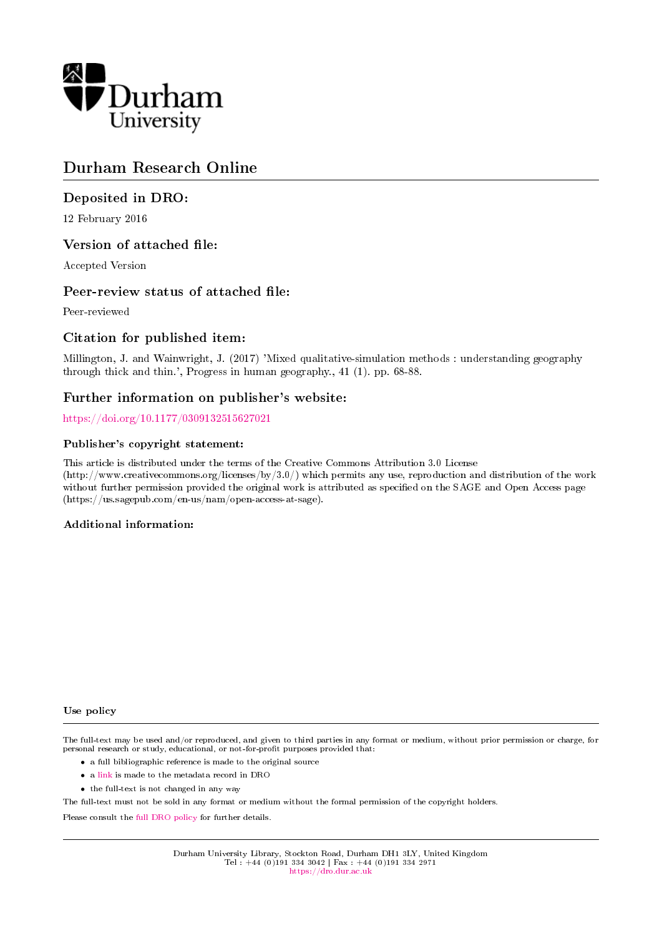

## Durham Research Online

### Deposited in DRO:

12 February 2016

### Version of attached file:

Accepted Version

### Peer-review status of attached file:

Peer-reviewed

### Citation for published item:

Millington, J. and Wainwright, J. (2017) 'Mixed qualitative-simulation methods : understanding geography through thick and thin.', Progress in human geography., 41 (1). pp. 68-88.

### Further information on publisher's website:

<https://doi.org/10.1177/0309132515627021>

#### Publisher's copyright statement:

This article is distributed under the terms of the Creative Commons Attribution 3.0 License (http://www.creativecommons.org/licenses/by/3.0/) which permits any use, reproduction and distribution of the work without further permission provided the original work is attributed as specified on the SAGE and Open Access page (https://us.sagepub.com/en-us/nam/open-access-at-sage).

#### Additional information:

#### Use policy

The full-text may be used and/or reproduced, and given to third parties in any format or medium, without prior permission or charge, for personal research or study, educational, or not-for-profit purposes provided that:

- a full bibliographic reference is made to the original source
- a [link](http://dro.dur.ac.uk/17532/) is made to the metadata record in DRO
- the full-text is not changed in any way

The full-text must not be sold in any format or medium without the formal permission of the copyright holders.

Please consult the [full DRO policy](https://dro.dur.ac.uk/policies/usepolicy.pdf) for further details.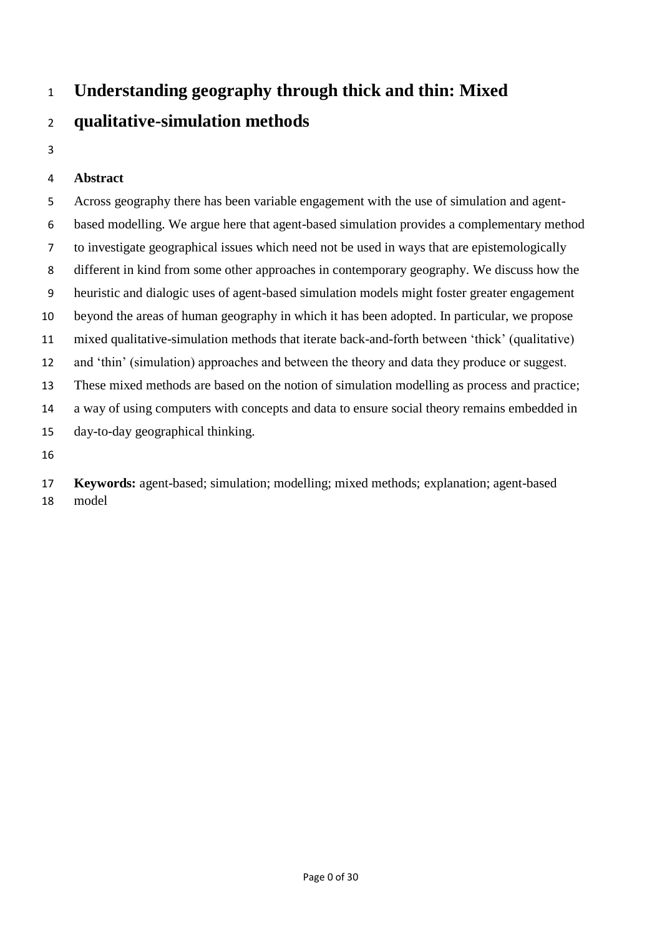# **Understanding geography through thick and thin: Mixed**

# **qualitative-simulation methods**

### **Abstract**

 Across geography there has been variable engagement with the use of simulation and agent- based modelling. We argue here that agent-based simulation provides a complementary method to investigate geographical issues which need not be used in ways that are epistemologically different in kind from some other approaches in contemporary geography. We discuss how the heuristic and dialogic uses of agent-based simulation models might foster greater engagement beyond the areas of human geography in which it has been adopted. In particular, we propose mixed qualitative-simulation methods that iterate back-and-forth between 'thick' (qualitative) and 'thin' (simulation) approaches and between the theory and data they produce or suggest. These mixed methods are based on the notion of simulation modelling as process and practice; a way of using computers with concepts and data to ensure social theory remains embedded in day-to-day geographical thinking. 

 **Keywords:** agent-based; simulation; modelling; mixed methods; explanation; agent-based model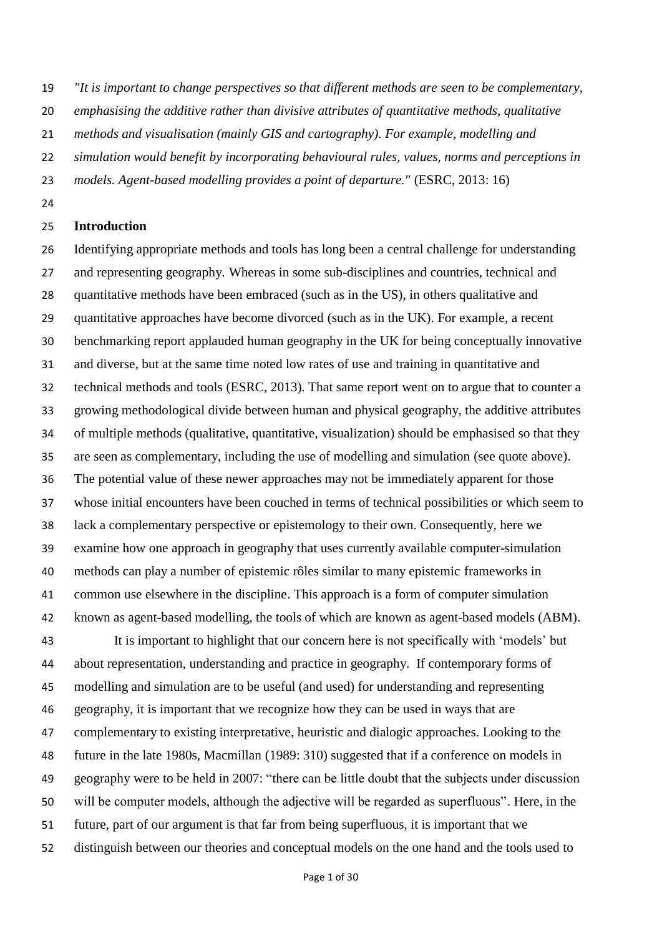*"It is important to change perspectives so that different methods are seen to be complementary,* 

*emphasising the additive rather than divisive attributes of quantitative methods, qualitative* 

- *methods and visualisation (mainly GIS and cartography). For example, modelling and*
- *simulation would benefit by incorporating behavioural rules, values, norms and perceptions in*
- *models. Agent-based modelling provides a point of departure."* (ESRC, 2013: 16)
- 

### **Introduction**

 Identifying appropriate methods and tools has long been a central challenge for understanding and representing geography. Whereas in some sub-disciplines and countries, technical and quantitative methods have been embraced (such as in the US), in others qualitative and quantitative approaches have become divorced (such as in the UK). For example, a recent benchmarking report applauded human geography in the UK for being conceptually innovative and diverse, but at the same time noted low rates of use and training in quantitative and technical methods and tools (ESRC, 2013). That same report went on to argue that to counter a growing methodological divide between human and physical geography, the additive attributes of multiple methods (qualitative, quantitative, visualization) should be emphasised so that they are seen as complementary, including the use of modelling and simulation (see quote above). The potential value of these newer approaches may not be immediately apparent for those whose initial encounters have been couched in terms of technical possibilities or which seem to lack a complementary perspective or epistemology to their own. Consequently, here we examine how one approach in geography that uses currently available computer-simulation methods can play a number of epistemic rôles similar to many epistemic frameworks in common use elsewhere in the discipline. This approach is a form of computer simulation known as agent-based modelling, the tools of which are known as agent-based models (ABM). It is important to highlight that our concern here is not specifically with 'models' but about representation, understanding and practice in geography. If contemporary forms of modelling and simulation are to be useful (and used) for understanding and representing geography, it is important that we recognize how they can be used in ways that are complementary to existing interpretative, heuristic and dialogic approaches. Looking to the future in the late 1980s, Macmillan (1989: 310) suggested that if a conference on models in geography were to be held in 2007: "there can be little doubt that the subjects under discussion will be computer models, although the adjective will be regarded as superfluous". Here, in the future, part of our argument is that far from being superfluous, it is important that we distinguish between our theories and conceptual models on the one hand and the tools used to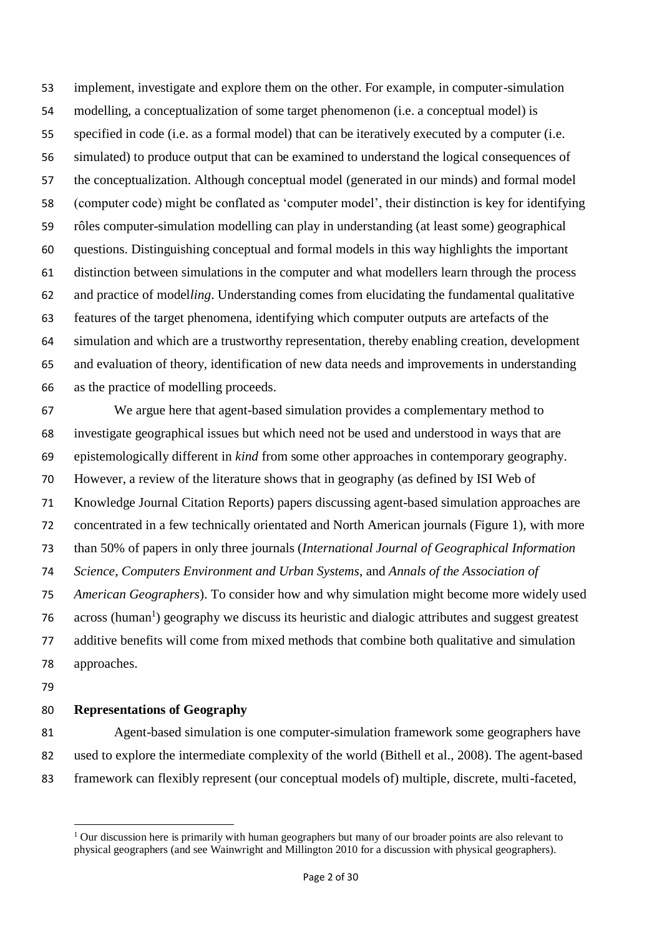implement, investigate and explore them on the other. For example, in computer-simulation modelling, a conceptualization of some target phenomenon (i.e. a conceptual model) is specified in code (i.e. as a formal model) that can be iteratively executed by a computer (i.e. simulated) to produce output that can be examined to understand the logical consequences of the conceptualization. Although conceptual model (generated in our minds) and formal model (computer code) might be conflated as 'computer model', their distinction is key for identifying rôles computer-simulation modelling can play in understanding (at least some) geographical questions. Distinguishing conceptual and formal models in this way highlights the important distinction between simulations in the computer and what modellers learn through the process and practice of model*ling*. Understanding comes from elucidating the fundamental qualitative features of the target phenomena, identifying which computer outputs are artefacts of the simulation and which are a trustworthy representation, thereby enabling creation, development and evaluation of theory, identification of new data needs and improvements in understanding as the practice of modelling proceeds.

 We argue here that agent-based simulation provides a complementary method to investigate geographical issues but which need not be used and understood in ways that are epistemologically different in *kind* from some other approaches in contemporary geography. However, a review of the literature shows that in geography (as defined by ISI Web of Knowledge Journal Citation Reports) papers discussing agent-based simulation approaches are concentrated in a few technically orientated and North American journals (Figure 1), with more than 50% of papers in only three journals (*International Journal of Geographical Information Science*, *Computers Environment and Urban Systems*, and *Annals of the Association of American Geographers*). To consider how and why simulation might become more widely used 76 across (human<sup>1</sup>) geography we discuss its heuristic and dialogic attributes and suggest greatest additive benefits will come from mixed methods that combine both qualitative and simulation approaches.

### **Representations of Geography**

 Agent-based simulation is one computer-simulation framework some geographers have used to explore the intermediate complexity of the world (Bithell et al., 2008). The agent-based framework can flexibly represent (our conceptual models of) multiple, discrete, multi-faceted,

<sup>&</sup>lt;sup>1</sup> Our discussion here is primarily with human geographers but many of our broader points are also relevant to physical geographers (and see Wainwright and Millington 2010 for a discussion with physical geographers).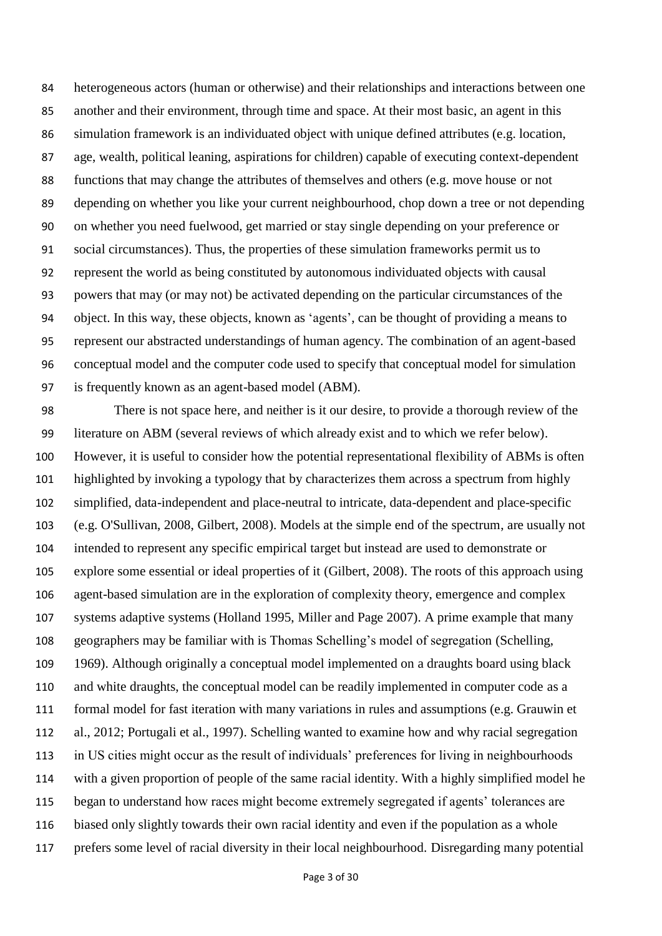heterogeneous actors (human or otherwise) and their relationships and interactions between one another and their environment, through time and space. At their most basic, an agent in this simulation framework is an individuated object with unique defined attributes (e.g. location, age, wealth, political leaning, aspirations for children) capable of executing context-dependent functions that may change the attributes of themselves and others (e.g. move house or not depending on whether you like your current neighbourhood, chop down a tree or not depending on whether you need fuelwood, get married or stay single depending on your preference or social circumstances). Thus, the properties of these simulation frameworks permit us to represent the world as being constituted by autonomous individuated objects with causal powers that may (or may not) be activated depending on the particular circumstances of the object. In this way, these objects, known as 'agents', can be thought of providing a means to represent our abstracted understandings of human agency. The combination of an agent-based conceptual model and the computer code used to specify that conceptual model for simulation is frequently known as an agent-based model (ABM).

 There is not space here, and neither is it our desire, to provide a thorough review of the literature on ABM (several reviews of which already exist and to which we refer below). However, it is useful to consider how the potential representational flexibility of ABMs is often highlighted by invoking a typology that by characterizes them across a spectrum from highly simplified, data-independent and place-neutral to intricate, data-dependent and place-specific (e.g. O'Sullivan, 2008, Gilbert, 2008). Models at the simple end of the spectrum, are usually not intended to represent any specific empirical target but instead are used to demonstrate or explore some essential or ideal properties of it (Gilbert, 2008). The roots of this approach using agent-based simulation are in the exploration of complexity theory, emergence and complex systems adaptive systems (Holland 1995, Miller and Page 2007). A prime example that many geographers may be familiar with is Thomas Schelling's model of segregation (Schelling, 1969). Although originally a conceptual model implemented on a draughts board using black and white draughts, the conceptual model can be readily implemented in computer code as a formal model for fast iteration with many variations in rules and assumptions (e.g. Grauwin et al., 2012; Portugali et al., 1997). Schelling wanted to examine how and why racial segregation in US cities might occur as the result of individuals' preferences for living in neighbourhoods with a given proportion of people of the same racial identity. With a highly simplified model he began to understand how races might become extremely segregated if agents' tolerances are biased only slightly towards their own racial identity and even if the population as a whole prefers some level of racial diversity in their local neighbourhood. Disregarding many potential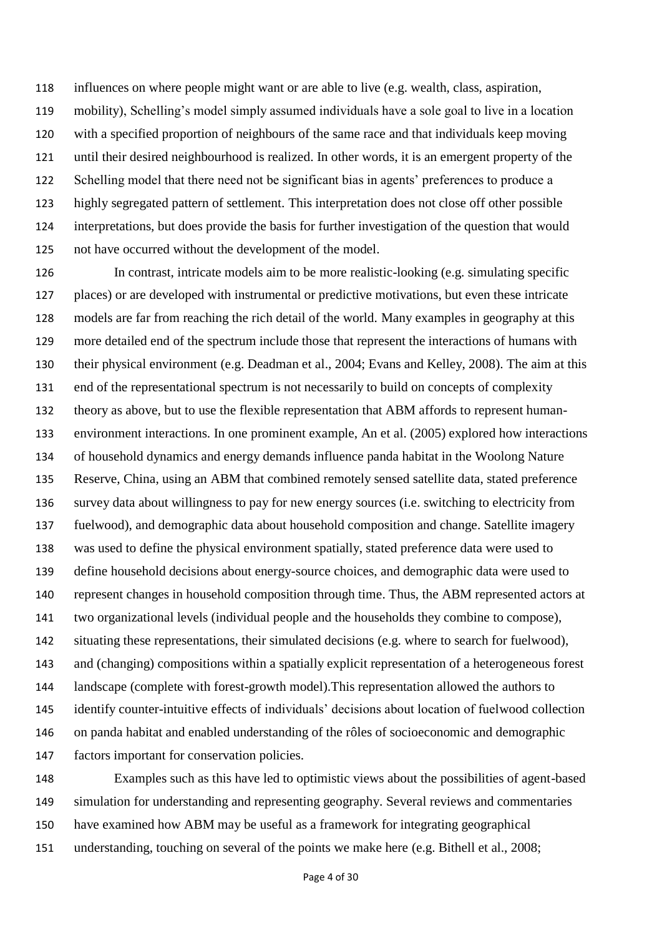influences on where people might want or are able to live (e.g. wealth, class, aspiration, mobility), Schelling's model simply assumed individuals have a sole goal to live in a location with a specified proportion of neighbours of the same race and that individuals keep moving until their desired neighbourhood is realized. In other words, it is an emergent property of the Schelling model that there need not be significant bias in agents' preferences to produce a highly segregated pattern of settlement. This interpretation does not close off other possible interpretations, but does provide the basis for further investigation of the question that would not have occurred without the development of the model.

 In contrast, intricate models aim to be more realistic-looking (e.g. simulating specific places) or are developed with instrumental or predictive motivations, but even these intricate models are far from reaching the rich detail of the world. Many examples in geography at this more detailed end of the spectrum include those that represent the interactions of humans with their physical environment (e.g. Deadman et al., 2004; Evans and Kelley, 2008). The aim at this end of the representational spectrum is not necessarily to build on concepts of complexity theory as above, but to use the flexible representation that ABM affords to represent human- environment interactions. In one prominent example, An et al. (2005) explored how interactions of household dynamics and energy demands influence panda habitat in the Woolong Nature Reserve, China, using an ABM that combined remotely sensed satellite data, stated preference survey data about willingness to pay for new energy sources (i.e. switching to electricity from fuelwood), and demographic data about household composition and change. Satellite imagery was used to define the physical environment spatially, stated preference data were used to define household decisions about energy-source choices, and demographic data were used to represent changes in household composition through time. Thus, the ABM represented actors at two organizational levels (individual people and the households they combine to compose), situating these representations, their simulated decisions (e.g. where to search for fuelwood), and (changing) compositions within a spatially explicit representation of a heterogeneous forest landscape (complete with forest-growth model).This representation allowed the authors to identify counter-intuitive effects of individuals' decisions about location of fuelwood collection on panda habitat and enabled understanding of the rôles of socioeconomic and demographic factors important for conservation policies.

 Examples such as this have led to optimistic views about the possibilities of agent-based simulation for understanding and representing geography. Several reviews and commentaries have examined how ABM may be useful as a framework for integrating geographical 151 understanding, touching on several of the points we make here (e.g. Bithell et al., 2008;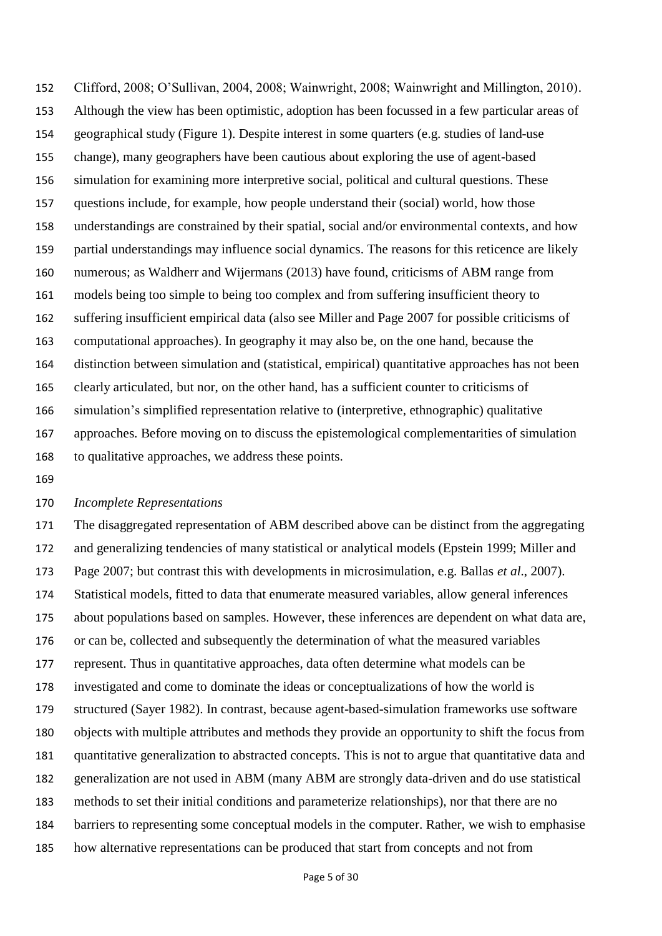Clifford, 2008; O'Sullivan, 2004, 2008; Wainwright, 2008; Wainwright and Millington, 2010). Although the view has been optimistic, adoption has been focussed in a few particular areas of geographical study (Figure 1). Despite interest in some quarters (e.g. studies of land-use change), many geographers have been cautious about exploring the use of agent-based simulation for examining more interpretive social, political and cultural questions. These questions include, for example, how people understand their (social) world, how those understandings are constrained by their spatial, social and/or environmental contexts, and how partial understandings may influence social dynamics. The reasons for this reticence are likely numerous; as Waldherr and Wijermans (2013) have found, criticisms of ABM range from models being too simple to being too complex and from suffering insufficient theory to suffering insufficient empirical data (also see Miller and Page 2007 for possible criticisms of computational approaches). In geography it may also be, on the one hand, because the distinction between simulation and (statistical, empirical) quantitative approaches has not been clearly articulated, but nor, on the other hand, has a sufficient counter to criticisms of simulation's simplified representation relative to (interpretive, ethnographic) qualitative approaches. Before moving on to discuss the epistemological complementarities of simulation to qualitative approaches, we address these points.

### *Incomplete Representations*

 The disaggregated representation of ABM described above can be distinct from the aggregating and generalizing tendencies of many statistical or analytical models (Epstein 1999; Miller and Page 2007; but contrast this with developments in microsimulation, e.g. Ballas *et al*., 2007). Statistical models, fitted to data that enumerate measured variables, allow general inferences about populations based on samples. However, these inferences are dependent on what data are, or can be, collected and subsequently the determination of what the measured variables represent. Thus in quantitative approaches, data often determine what models can be investigated and come to dominate the ideas or conceptualizations of how the world is structured (Sayer 1982). In contrast, because agent-based-simulation frameworks use software objects with multiple attributes and methods they provide an opportunity to shift the focus from quantitative generalization to abstracted concepts. This is not to argue that quantitative data and generalization are not used in ABM (many ABM are strongly data-driven and do use statistical methods to set their initial conditions and parameterize relationships), nor that there are no barriers to representing some conceptual models in the computer. Rather, we wish to emphasise how alternative representations can be produced that start from concepts and not from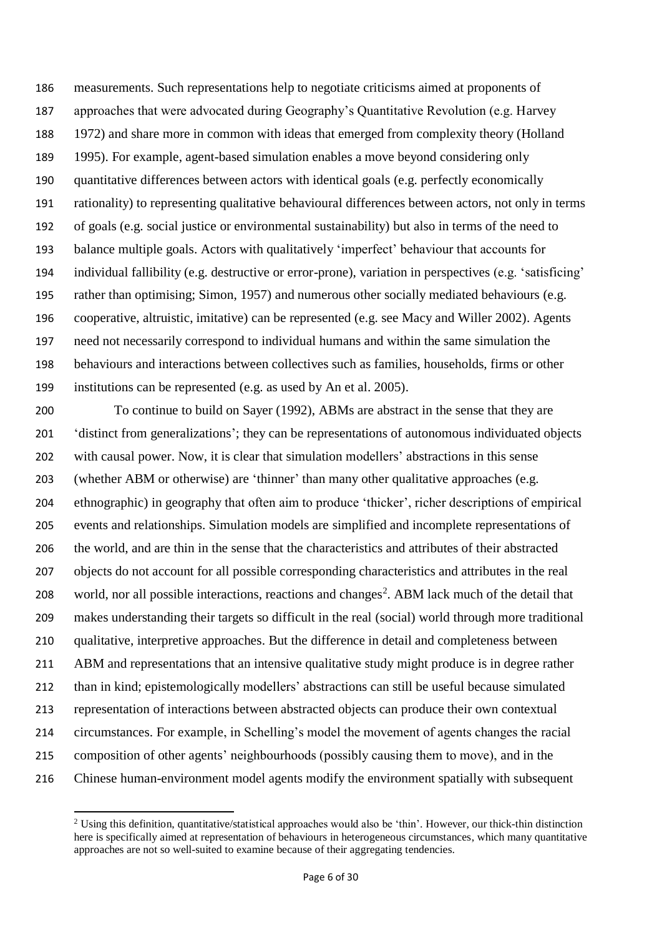measurements. Such representations help to negotiate criticisms aimed at proponents of approaches that were advocated during Geography's Quantitative Revolution (e.g. Harvey 1972) and share more in common with ideas that emerged from complexity theory (Holland 1995). For example, agent-based simulation enables a move beyond considering only quantitative differences between actors with identical goals (e.g. perfectly economically rationality) to representing qualitative behavioural differences between actors, not only in terms of goals (e.g. social justice or environmental sustainability) but also in terms of the need to balance multiple goals. Actors with qualitatively 'imperfect' behaviour that accounts for individual fallibility (e.g. destructive or error-prone), variation in perspectives (e.g. 'satisficing' rather than optimising; Simon, 1957) and numerous other socially mediated behaviours (e.g. cooperative, altruistic, imitative) can be represented (e.g. see Macy and Willer 2002). Agents need not necessarily correspond to individual humans and within the same simulation the behaviours and interactions between collectives such as families, households, firms or other institutions can be represented (e.g. as used by An et al. 2005).

 To continue to build on Sayer (1992), ABMs are abstract in the sense that they are 'distinct from generalizations'; they can be representations of autonomous individuated objects with causal power. Now, it is clear that simulation modellers' abstractions in this sense (whether ABM or otherwise) are 'thinner' than many other qualitative approaches (e.g. ethnographic) in geography that often aim to produce 'thicker', richer descriptions of empirical events and relationships. Simulation models are simplified and incomplete representations of the world, and are thin in the sense that the characteristics and attributes of their abstracted objects do not account for all possible corresponding characteristics and attributes in the real 208 world, nor all possible interactions, reactions and changes<sup>2</sup>. ABM lack much of the detail that makes understanding their targets so difficult in the real (social) world through more traditional qualitative, interpretive approaches. But the difference in detail and completeness between ABM and representations that an intensive qualitative study might produce is in degree rather than in kind; epistemologically modellers' abstractions can still be useful because simulated representation of interactions between abstracted objects can produce their own contextual circumstances. For example, in Schelling's model the movement of agents changes the racial composition of other agents' neighbourhoods (possibly causing them to move), and in the Chinese human-environment model agents modify the environment spatially with subsequent

 $\overline{a}$ 

 Using this definition, quantitative/statistical approaches would also be 'thin'. However, our thick-thin distinction here is specifically aimed at representation of behaviours in heterogeneous circumstances, which many quantitative approaches are not so well-suited to examine because of their aggregating tendencies.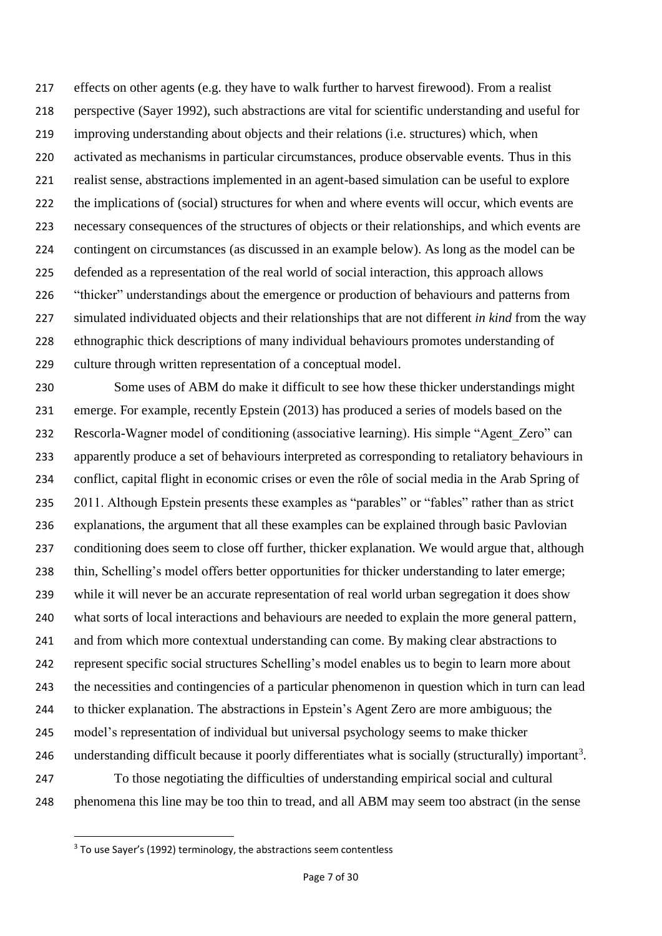effects on other agents (e.g. they have to walk further to harvest firewood). From a realist perspective (Sayer 1992), such abstractions are vital for scientific understanding and useful for improving understanding about objects and their relations (i.e. structures) which, when activated as mechanisms in particular circumstances, produce observable events. Thus in this realist sense, abstractions implemented in an agent-based simulation can be useful to explore the implications of (social) structures for when and where events will occur, which events are necessary consequences of the structures of objects or their relationships, and which events are contingent on circumstances (as discussed in an example below). As long as the model can be defended as a representation of the real world of social interaction, this approach allows 226 "thicker" understandings about the emergence or production of behaviours and patterns from simulated individuated objects and their relationships that are not different *in kind* from the way ethnographic thick descriptions of many individual behaviours promotes understanding of culture through written representation of a conceptual model.

 Some uses of ABM do make it difficult to see how these thicker understandings might emerge. For example, recently Epstein (2013) has produced a series of models based on the Rescorla-Wagner model of conditioning (associative learning). His simple "Agent\_Zero" can apparently produce a set of behaviours interpreted as corresponding to retaliatory behaviours in conflict, capital flight in economic crises or even the rôle of social media in the Arab Spring of 235 2011. Although Epstein presents these examples as "parables" or "fables" rather than as strict explanations, the argument that all these examples can be explained through basic Pavlovian conditioning does seem to close off further, thicker explanation. We would argue that, although thin, Schelling's model offers better opportunities for thicker understanding to later emerge; while it will never be an accurate representation of real world urban segregation it does show what sorts of local interactions and behaviours are needed to explain the more general pattern, and from which more contextual understanding can come. By making clear abstractions to represent specific social structures Schelling's model enables us to begin to learn more about the necessities and contingencies of a particular phenomenon in question which in turn can lead to thicker explanation. The abstractions in Epstein's Agent Zero are more ambiguous; the model's representation of individual but universal psychology seems to make thicker 246 understanding difficult because it poorly differentiates what is socially (structurally) important<sup>3</sup>. To those negotiating the difficulties of understanding empirical social and cultural phenomena this line may be too thin to tread, and all ABM may seem too abstract (in the sense

 $\overline{a}$ 

To use Sayer's (1992) terminology, the abstractions seem contentless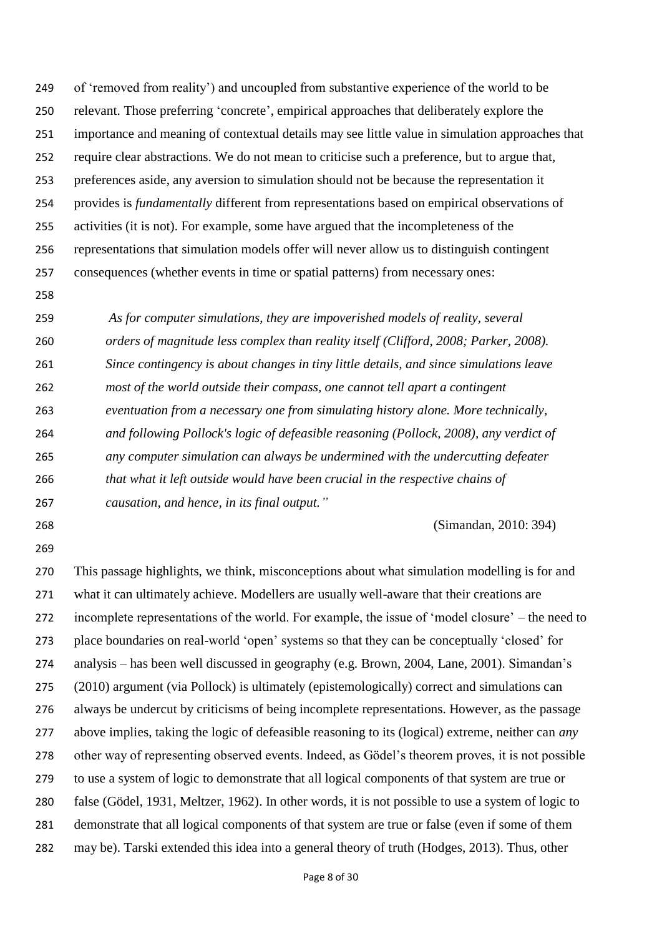of 'removed from reality') and uncoupled from substantive experience of the world to be relevant. Those preferring 'concrete', empirical approaches that deliberately explore the importance and meaning of contextual details may see little value in simulation approaches that require clear abstractions. We do not mean to criticise such a preference, but to argue that, preferences aside, any aversion to simulation should not be because the representation it provides is *fundamentally* different from representations based on empirical observations of activities (it is not). For example, some have argued that the incompleteness of the representations that simulation models offer will never allow us to distinguish contingent consequences (whether events in time or spatial patterns) from necessary ones:

 *As for computer simulations, they are impoverished models of reality, several orders of magnitude less complex than reality itself (Clifford, 2008; Parker, 2008). Since contingency is about changes in tiny little details, and since simulations leave most of the world outside their compass, one cannot tell apart a contingent eventuation from a necessary one from simulating history alone. More technically, and following Pollock's logic of defeasible reasoning (Pollock, 2008), any verdict of any computer simulation can always be undermined with the undercutting defeater that what it left outside would have been crucial in the respective chains of causation, and hence, in its final output."*

(Simandan, 2010: 394)

 This passage highlights, we think, misconceptions about what simulation modelling is for and what it can ultimately achieve. Modellers are usually well-aware that their creations are incomplete representations of the world. For example, the issue of 'model closure' – the need to place boundaries on real-world 'open' systems so that they can be conceptually 'closed' for analysis – has been well discussed in geography (e.g. Brown, 2004, Lane, 2001). Simandan's (2010) argument (via Pollock) is ultimately (epistemologically) correct and simulations can always be undercut by criticisms of being incomplete representations. However, as the passage above implies, taking the logic of defeasible reasoning to its (logical) extreme, neither can *any* other way of representing observed events. Indeed, as Gödel's theorem proves, it is not possible to use a system of logic to demonstrate that all logical components of that system are true or false (Gödel, 1931, Meltzer, 1962). In other words, it is not possible to use a system of logic to demonstrate that all logical components of that system are true or false (even if some of them may be). Tarski extended this idea into a general theory of truth (Hodges, 2013). Thus, other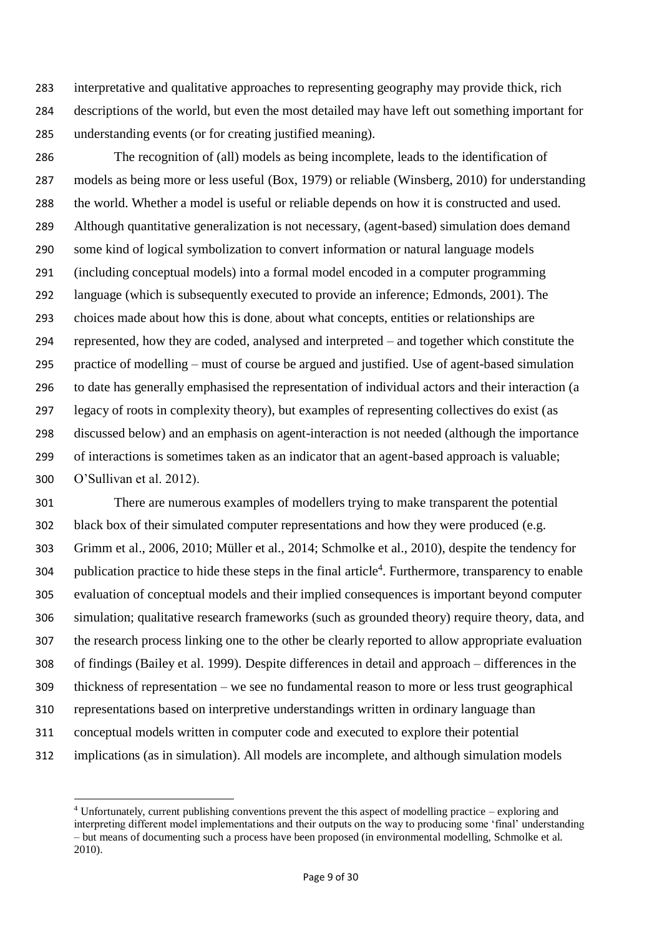interpretative and qualitative approaches to representing geography may provide thick, rich descriptions of the world, but even the most detailed may have left out something important for understanding events (or for creating justified meaning).

 The recognition of (all) models as being incomplete, leads to the identification of models as being more or less useful (Box, 1979) or reliable (Winsberg, 2010) for understanding the world. Whether a model is useful or reliable depends on how it is constructed and used. Although quantitative generalization is not necessary, (agent-based) simulation does demand some kind of logical symbolization to convert information or natural language models (including conceptual models) into a formal model encoded in a computer programming language (which is subsequently executed to provide an inference; Edmonds, 2001). The choices made about how this is done, about what concepts, entities or relationships are represented, how they are coded, analysed and interpreted – and together which constitute the practice of modelling – must of course be argued and justified. Use of agent-based simulation to date has generally emphasised the representation of individual actors and their interaction (a legacy of roots in complexity theory), but examples of representing collectives do exist (as discussed below) and an emphasis on agent-interaction is not needed (although the importance of interactions is sometimes taken as an indicator that an agent-based approach is valuable; O'Sullivan et al. 2012).

 There are numerous examples of modellers trying to make transparent the potential black box of their simulated computer representations and how they were produced (e.g. Grimm et al., 2006, 2010; Müller et al., 2014; Schmolke et al., 2010), despite the tendency for 304 publication practice to hide these steps in the final article<sup>4</sup>. Furthermore, transparency to enable evaluation of conceptual models and their implied consequences is important beyond computer simulation; qualitative research frameworks (such as grounded theory) require theory, data, and the research process linking one to the other be clearly reported to allow appropriate evaluation of findings (Bailey et al. 1999). Despite differences in detail and approach – differences in the thickness of representation – we see no fundamental reason to more or less trust geographical representations based on interpretive understandings written in ordinary language than conceptual models written in computer code and executed to explore their potential implications (as in simulation). All models are incomplete, and although simulation models

 $\overline{a}$ 

 Unfortunately, current publishing conventions prevent the this aspect of modelling practice – exploring and interpreting different model implementations and their outputs on the way to producing some 'final' understanding – but means of documenting such a process have been proposed (in environmental modelling, Schmolke et al. 2010).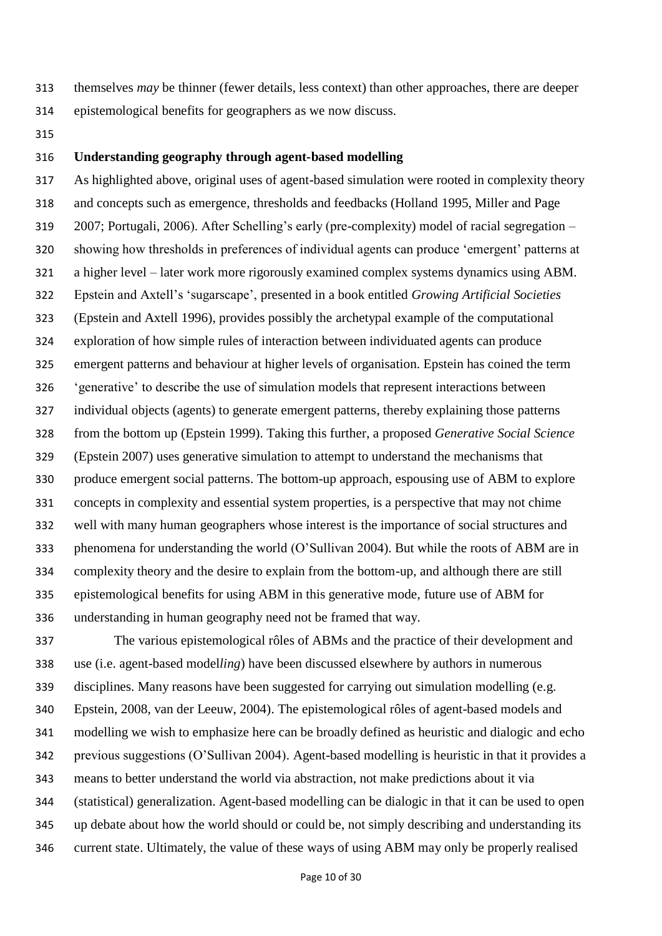- themselves *may* be thinner (fewer details, less context) than other approaches, there are deeper
- epistemological benefits for geographers as we now discuss.
- 

### **Understanding geography through agent-based modelling**

 As highlighted above, original uses of agent-based simulation were rooted in complexity theory and concepts such as emergence, thresholds and feedbacks (Holland 1995, Miller and Page 2007; Portugali, 2006). After Schelling's early (pre-complexity) model of racial segregation – showing how thresholds in preferences of individual agents can produce 'emergent' patterns at a higher level – later work more rigorously examined complex systems dynamics using ABM. Epstein and Axtell's 'sugarscape', presented in a book entitled *Growing Artificial Societies* (Epstein and Axtell 1996), provides possibly the archetypal example of the computational exploration of how simple rules of interaction between individuated agents can produce emergent patterns and behaviour at higher levels of organisation. Epstein has coined the term 'generative' to describe the use of simulation models that represent interactions between individual objects (agents) to generate emergent patterns, thereby explaining those patterns from the bottom up (Epstein 1999). Taking this further, a proposed *Generative Social Science* (Epstein 2007) uses generative simulation to attempt to understand the mechanisms that produce emergent social patterns. The bottom-up approach, espousing use of ABM to explore concepts in complexity and essential system properties, is a perspective that may not chime well with many human geographers whose interest is the importance of social structures and phenomena for understanding the world (O'Sullivan 2004). But while the roots of ABM are in complexity theory and the desire to explain from the bottom-up, and although there are still epistemological benefits for using ABM in this generative mode, future use of ABM for understanding in human geography need not be framed that way.

 The various epistemological rôles of ABMs and the practice of their development and use (i.e. agent-based model*ling*) have been discussed elsewhere by authors in numerous disciplines. Many reasons have been suggested for carrying out simulation modelling (e.g. Epstein, 2008, van der Leeuw, 2004). The epistemological rôles of agent-based models and modelling we wish to emphasize here can be broadly defined as heuristic and dialogic and echo previous suggestions (O'Sullivan 2004). Agent-based modelling is heuristic in that it provides a means to better understand the world via abstraction, not make predictions about it via (statistical) generalization. Agent-based modelling can be dialogic in that it can be used to open up debate about how the world should or could be, not simply describing and understanding its current state. Ultimately, the value of these ways of using ABM may only be properly realised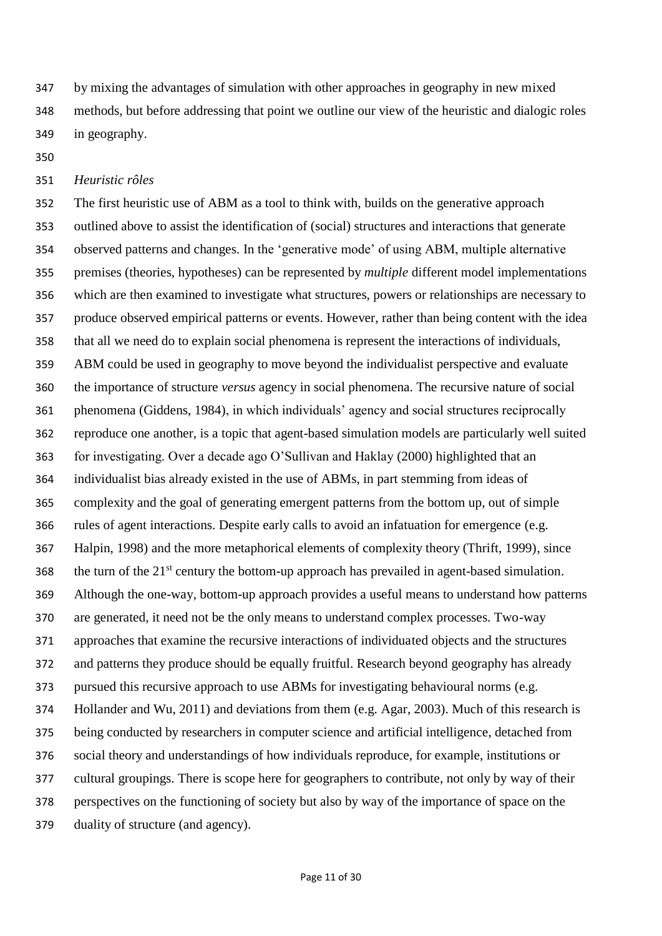by mixing the advantages of simulation with other approaches in geography in new mixed methods, but before addressing that point we outline our view of the heuristic and dialogic roles in geography.

### *Heuristic rôles*

 The first heuristic use of ABM as a tool to think with, builds on the generative approach outlined above to assist the identification of (social) structures and interactions that generate observed patterns and changes. In the 'generative mode' of using ABM, multiple alternative premises (theories, hypotheses) can be represented by *multiple* different model implementations which are then examined to investigate what structures, powers or relationships are necessary to produce observed empirical patterns or events. However, rather than being content with the idea that all we need do to explain social phenomena is represent the interactions of individuals, ABM could be used in geography to move beyond the individualist perspective and evaluate the importance of structure *versus* agency in social phenomena. The recursive nature of social phenomena (Giddens, 1984), in which individuals' agency and social structures reciprocally reproduce one another, is a topic that agent-based simulation models are particularly well suited for investigating. Over a decade ago O'Sullivan and Haklay (2000) highlighted that an individualist bias already existed in the use of ABMs, in part stemming from ideas of complexity and the goal of generating emergent patterns from the bottom up, out of simple rules of agent interactions. Despite early calls to avoid an infatuation for emergence (e.g. Halpin, 1998) and the more metaphorical elements of complexity theory (Thrift, 1999), since 368 the turn of the  $21<sup>st</sup>$  century the bottom-up approach has prevailed in agent-based simulation. Although the one-way, bottom-up approach provides a useful means to understand how patterns are generated, it need not be the only means to understand complex processes. Two-way approaches that examine the recursive interactions of individuated objects and the structures and patterns they produce should be equally fruitful. Research beyond geography has already pursued this recursive approach to use ABMs for investigating behavioural norms (e.g. Hollander and Wu, 2011) and deviations from them (e.g. Agar, 2003). Much of this research is being conducted by researchers in computer science and artificial intelligence, detached from social theory and understandings of how individuals reproduce, for example, institutions or cultural groupings. There is scope here for geographers to contribute, not only by way of their perspectives on the functioning of society but also by way of the importance of space on the duality of structure (and agency).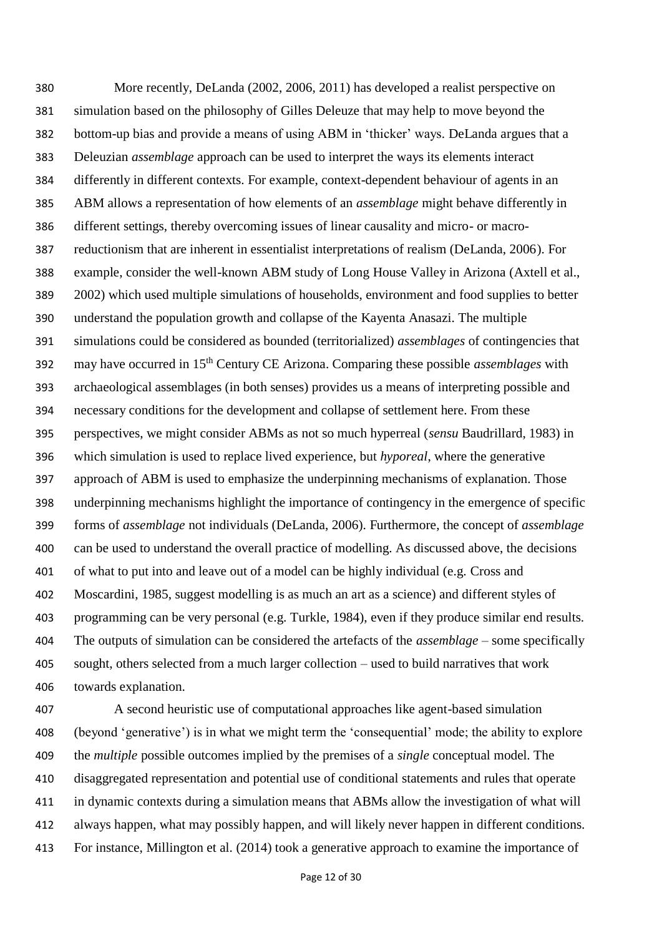More recently, DeLanda (2002, 2006, 2011) has developed a realist perspective on simulation based on the philosophy of Gilles Deleuze that may help to move beyond the bottom-up bias and provide a means of using ABM in 'thicker' ways. DeLanda argues that a Deleuzian *assemblage* approach can be used to interpret the ways its elements interact differently in different contexts. For example, context-dependent behaviour of agents in an ABM allows a representation of how elements of an *assemblage* might behave differently in different settings, thereby overcoming issues of linear causality and micro- or macro- reductionism that are inherent in essentialist interpretations of realism (DeLanda, 2006). For example, consider the well-known ABM study of Long House Valley in Arizona (Axtell et al., 2002) which used multiple simulations of households, environment and food supplies to better understand the population growth and collapse of the Kayenta Anasazi. The multiple simulations could be considered as bounded (territorialized) *assemblages* of contingencies that may have occurred in 15th Century CE Arizona. Comparing these possible *assemblages* with archaeological assemblages (in both senses) provides us a means of interpreting possible and necessary conditions for the development and collapse of settlement here. From these perspectives, we might consider ABMs as not so much hyperreal (*sensu* Baudrillard, 1983) in which simulation is used to replace lived experience, but *hyporeal*, where the generative approach of ABM is used to emphasize the underpinning mechanisms of explanation. Those underpinning mechanisms highlight the importance of contingency in the emergence of specific forms of *assemblage* not individuals (DeLanda, 2006). Furthermore, the concept of *assemblage* can be used to understand the overall practice of modelling. As discussed above, the decisions of what to put into and leave out of a model can be highly individual (e.g. Cross and Moscardini, 1985, suggest modelling is as much an art as a science) and different styles of programming can be very personal (e.g. Turkle, 1984), even if they produce similar end results. The outputs of simulation can be considered the artefacts of the *assemblage* – some specifically sought, others selected from a much larger collection – used to build narratives that work towards explanation.

 A second heuristic use of computational approaches like agent-based simulation (beyond 'generative') is in what we might term the 'consequential' mode; the ability to explore the *multiple* possible outcomes implied by the premises of a *single* conceptual model. The disaggregated representation and potential use of conditional statements and rules that operate in dynamic contexts during a simulation means that ABMs allow the investigation of what will always happen, what may possibly happen, and will likely never happen in different conditions. For instance, Millington et al. (2014) took a generative approach to examine the importance of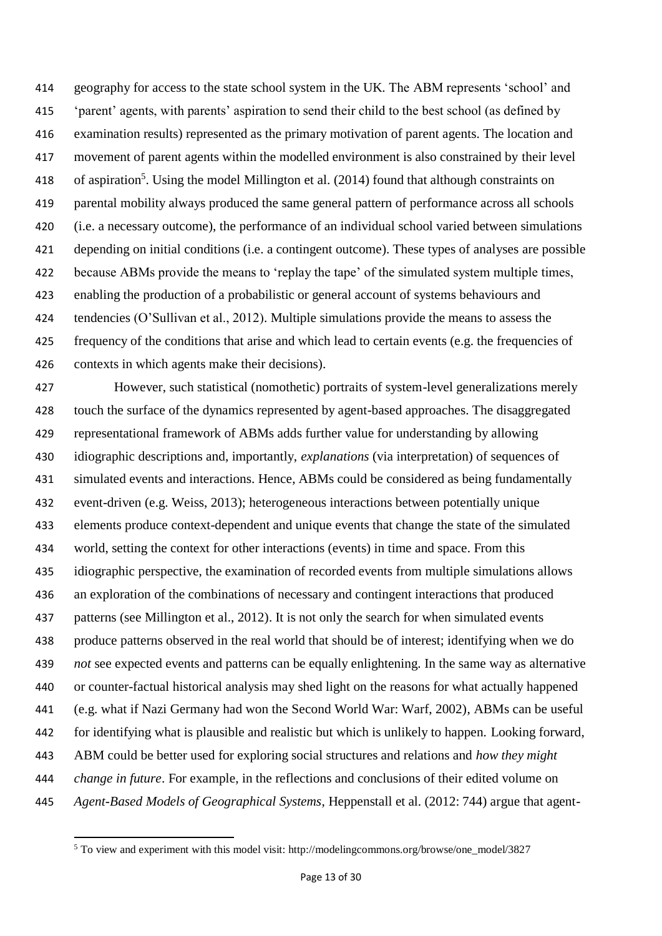geography for access to the state school system in the UK. The ABM represents 'school' and 'parent' agents, with parents' aspiration to send their child to the best school (as defined by examination results) represented as the primary motivation of parent agents. The location and movement of parent agents within the modelled environment is also constrained by their level 418 of aspiration<sup>5</sup>. Using the model Millington et al. (2014) found that although constraints on parental mobility always produced the same general pattern of performance across all schools (i.e. a necessary outcome), the performance of an individual school varied between simulations depending on initial conditions (i.e. a contingent outcome). These types of analyses are possible because ABMs provide the means to 'replay the tape' of the simulated system multiple times, enabling the production of a probabilistic or general account of systems behaviours and tendencies (O'Sullivan et al., 2012). Multiple simulations provide the means to assess the frequency of the conditions that arise and which lead to certain events (e.g. the frequencies of contexts in which agents make their decisions).

 However, such statistical (nomothetic) portraits of system-level generalizations merely touch the surface of the dynamics represented by agent-based approaches. The disaggregated representational framework of ABMs adds further value for understanding by allowing idiographic descriptions and, importantly, *explanations* (via interpretation) of sequences of simulated events and interactions. Hence, ABMs could be considered as being fundamentally event-driven (e.g. Weiss, 2013); heterogeneous interactions between potentially unique elements produce context-dependent and unique events that change the state of the simulated world, setting the context for other interactions (events) in time and space. From this idiographic perspective, the examination of recorded events from multiple simulations allows an exploration of the combinations of necessary and contingent interactions that produced patterns (see Millington et al., 2012). It is not only the search for when simulated events produce patterns observed in the real world that should be of interest; identifying when we do *not* see expected events and patterns can be equally enlightening. In the same way as alternative or counter-factual historical analysis may shed light on the reasons for what actually happened (e.g. what if Nazi Germany had won the Second World War: Warf, 2002), ABMs can be useful for identifying what is plausible and realistic but which is unlikely to happen. Looking forward, ABM could be better used for exploring social structures and relations and *how they might change in future*. For example, in the reflections and conclusions of their edited volume on *Agent-Based Models of Geographical Systems*, Heppenstall et al. (2012: 744) argue that agent-

<sup>&</sup>lt;sup>5</sup> To view and experiment with this model visit: http://modelingcommons.org/browse/one\_model/3827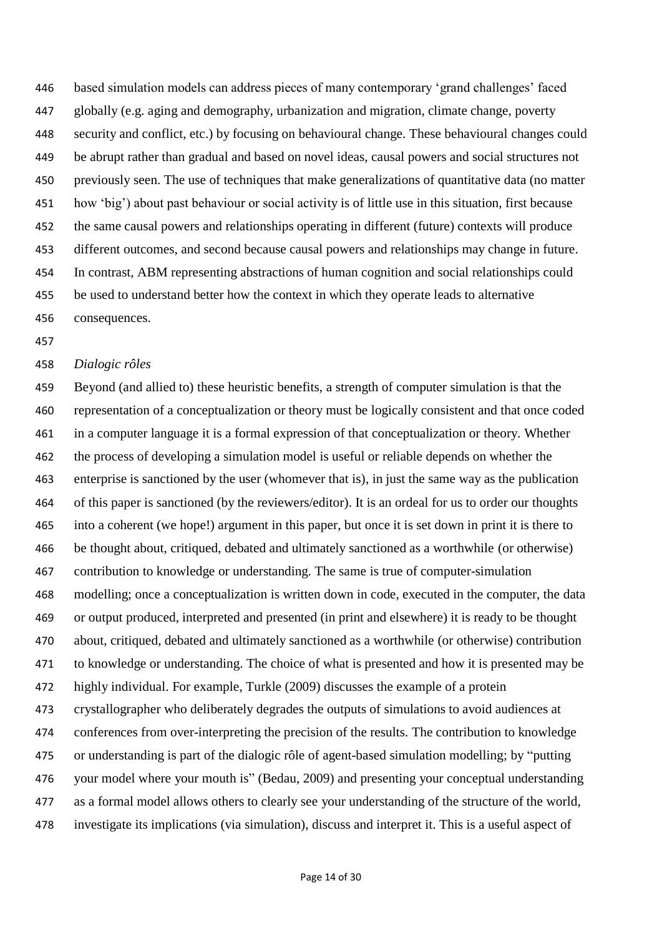based simulation models can address pieces of many contemporary 'grand challenges' faced globally (e.g. aging and demography, urbanization and migration, climate change, poverty security and conflict, etc.) by focusing on behavioural change. These behavioural changes could be abrupt rather than gradual and based on novel ideas, causal powers and social structures not previously seen. The use of techniques that make generalizations of quantitative data (no matter how 'big') about past behaviour or social activity is of little use in this situation, first because the same causal powers and relationships operating in different (future) contexts will produce different outcomes, and second because causal powers and relationships may change in future. In contrast, ABM representing abstractions of human cognition and social relationships could be used to understand better how the context in which they operate leads to alternative consequences.

#### *Dialogic rôles*

 Beyond (and allied to) these heuristic benefits, a strength of computer simulation is that the representation of a conceptualization or theory must be logically consistent and that once coded in a computer language it is a formal expression of that conceptualization or theory. Whether the process of developing a simulation model is useful or reliable depends on whether the enterprise is sanctioned by the user (whomever that is), in just the same way as the publication of this paper is sanctioned (by the reviewers/editor). It is an ordeal for us to order our thoughts into a coherent (we hope!) argument in this paper, but once it is set down in print it is there to be thought about, critiqued, debated and ultimately sanctioned as a worthwhile (or otherwise) contribution to knowledge or understanding. The same is true of computer-simulation modelling; once a conceptualization is written down in code, executed in the computer, the data or output produced, interpreted and presented (in print and elsewhere) it is ready to be thought about, critiqued, debated and ultimately sanctioned as a worthwhile (or otherwise) contribution to knowledge or understanding. The choice of what is presented and how it is presented may be highly individual. For example, Turkle (2009) discusses the example of a protein crystallographer who deliberately degrades the outputs of simulations to avoid audiences at conferences from over-interpreting the precision of the results. The contribution to knowledge or understanding is part of the dialogic rôle of agent-based simulation modelling; by "putting your model where your mouth is" (Bedau, 2009) and presenting your conceptual understanding as a formal model allows others to clearly see your understanding of the structure of the world, investigate its implications (via simulation), discuss and interpret it. This is a useful aspect of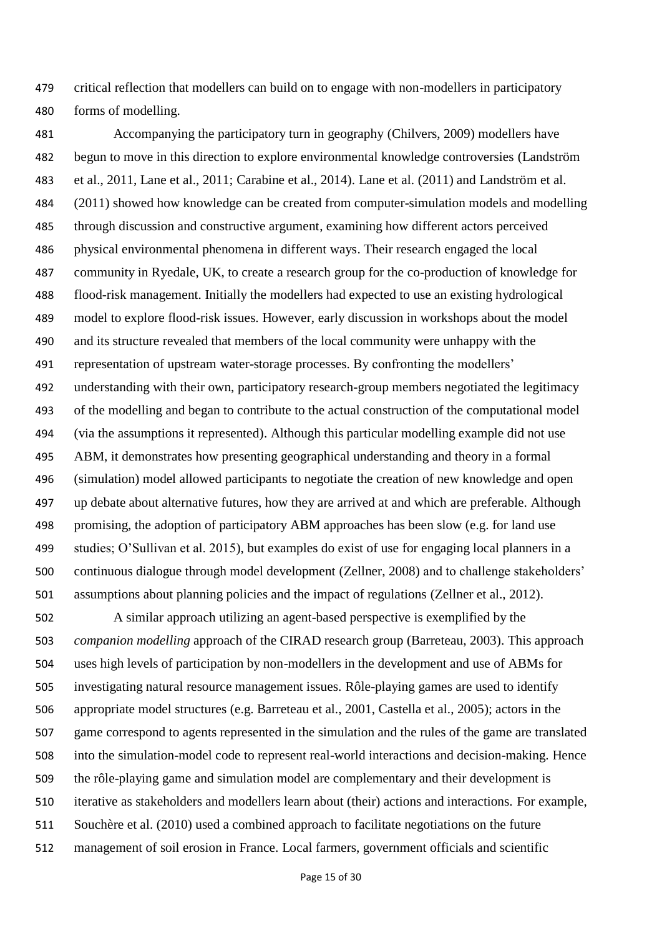critical reflection that modellers can build on to engage with non-modellers in participatory forms of modelling.

 Accompanying the participatory turn in geography (Chilvers, 2009) modellers have begun to move in this direction to explore environmental knowledge controversies (Landström et al., 2011, Lane et al., 2011; Carabine et al., 2014). Lane et al. (2011) and Landström et al. (2011) showed how knowledge can be created from computer-simulation models and modelling through discussion and constructive argument, examining how different actors perceived physical environmental phenomena in different ways. Their research engaged the local community in Ryedale, UK, to create a research group for the co-production of knowledge for flood-risk management. Initially the modellers had expected to use an existing hydrological model to explore flood-risk issues. However, early discussion in workshops about the model and its structure revealed that members of the local community were unhappy with the representation of upstream water-storage processes. By confronting the modellers' understanding with their own, participatory research-group members negotiated the legitimacy of the modelling and began to contribute to the actual construction of the computational model (via the assumptions it represented). Although this particular modelling example did not use ABM, it demonstrates how presenting geographical understanding and theory in a formal (simulation) model allowed participants to negotiate the creation of new knowledge and open up debate about alternative futures, how they are arrived at and which are preferable. Although promising, the adoption of participatory ABM approaches has been slow (e.g. for land use studies; O'Sullivan et al. 2015), but examples do exist of use for engaging local planners in a continuous dialogue through model development (Zellner, 2008) and to challenge stakeholders' assumptions about planning policies and the impact of regulations (Zellner et al., 2012).

 A similar approach utilizing an agent-based perspective is exemplified by the *companion modelling* approach of the CIRAD research group (Barreteau, 2003). This approach uses high levels of participation by non-modellers in the development and use of ABMs for investigating natural resource management issues. Rôle-playing games are used to identify appropriate model structures (e.g. Barreteau et al., 2001, Castella et al., 2005); actors in the game correspond to agents represented in the simulation and the rules of the game are translated into the simulation-model code to represent real-world interactions and decision-making. Hence the rôle-playing game and simulation model are complementary and their development is iterative as stakeholders and modellers learn about (their) actions and interactions. For example, Souchère et al. (2010) used a combined approach to facilitate negotiations on the future management of soil erosion in France. Local farmers, government officials and scientific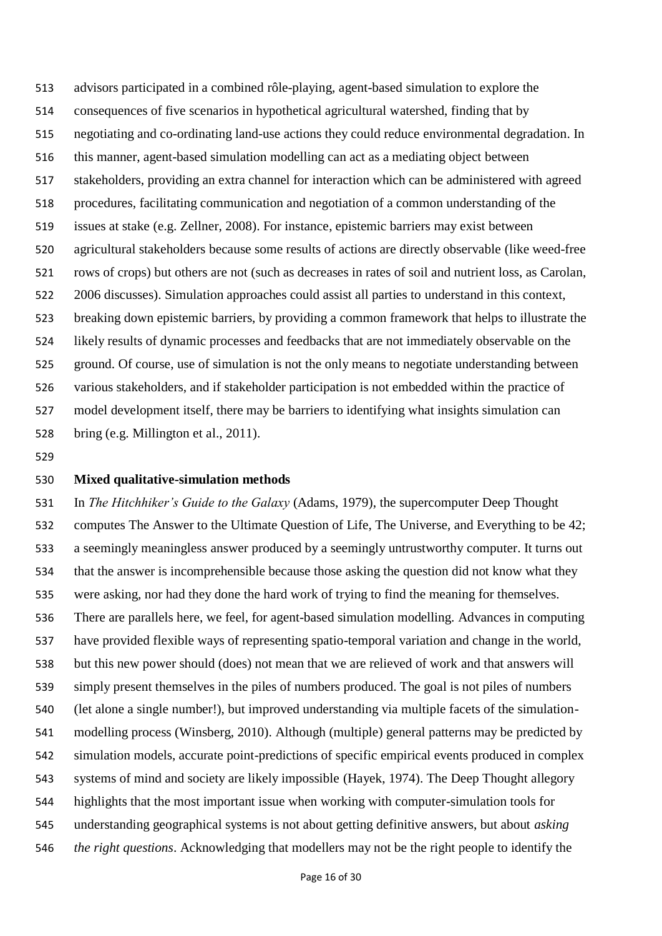advisors participated in a combined rôle-playing, agent-based simulation to explore the consequences of five scenarios in hypothetical agricultural watershed, finding that by negotiating and co-ordinating land-use actions they could reduce environmental degradation. In this manner, agent-based simulation modelling can act as a mediating object between stakeholders, providing an extra channel for interaction which can be administered with agreed procedures, facilitating communication and negotiation of a common understanding of the issues at stake (e.g. Zellner, 2008). For instance, epistemic barriers may exist between agricultural stakeholders because some results of actions are directly observable (like weed-free rows of crops) but others are not (such as decreases in rates of soil and nutrient loss, as Carolan, 2006 discusses). Simulation approaches could assist all parties to understand in this context, breaking down epistemic barriers, by providing a common framework that helps to illustrate the likely results of dynamic processes and feedbacks that are not immediately observable on the ground. Of course, use of simulation is not the only means to negotiate understanding between various stakeholders, and if stakeholder participation is not embedded within the practice of model development itself, there may be barriers to identifying what insights simulation can bring (e.g. Millington et al., 2011).

### **Mixed qualitative-simulation methods**

 In *The Hitchhiker's Guide to the Galaxy* (Adams, 1979), the supercomputer Deep Thought computes The Answer to the Ultimate Question of Life, The Universe, and Everything to be 42; a seemingly meaningless answer produced by a seemingly untrustworthy computer. It turns out that the answer is incomprehensible because those asking the question did not know what they were asking, nor had they done the hard work of trying to find the meaning for themselves. There are parallels here, we feel, for agent-based simulation modelling. Advances in computing have provided flexible ways of representing spatio-temporal variation and change in the world, but this new power should (does) not mean that we are relieved of work and that answers will simply present themselves in the piles of numbers produced. The goal is not piles of numbers (let alone a single number!), but improved understanding via multiple facets of the simulation- modelling process (Winsberg, 2010). Although (multiple) general patterns may be predicted by simulation models, accurate point-predictions of specific empirical events produced in complex systems of mind and society are likely impossible (Hayek, 1974). The Deep Thought allegory highlights that the most important issue when working with computer-simulation tools for understanding geographical systems is not about getting definitive answers, but about *asking the right questions*. Acknowledging that modellers may not be the right people to identify the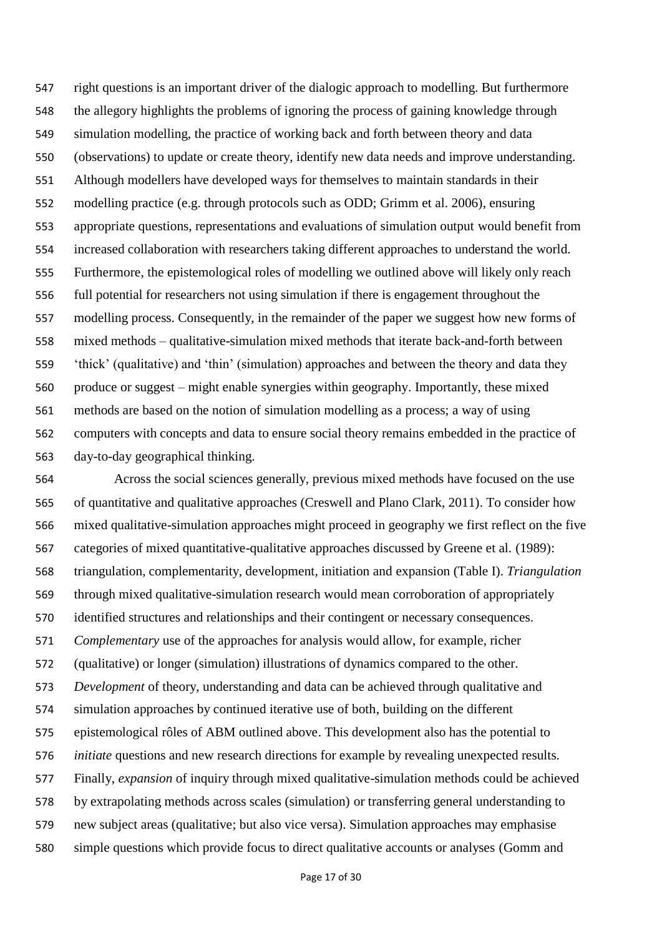right questions is an important driver of the dialogic approach to modelling. But furthermore the allegory highlights the problems of ignoring the process of gaining knowledge through simulation modelling, the practice of working back and forth between theory and data (observations) to update or create theory, identify new data needs and improve understanding. Although modellers have developed ways for themselves to maintain standards in their modelling practice (e.g. through protocols such as ODD; Grimm et al. 2006), ensuring appropriate questions, representations and evaluations of simulation output would benefit from increased collaboration with researchers taking different approaches to understand the world. Furthermore, the epistemological roles of modelling we outlined above will likely only reach full potential for researchers not using simulation if there is engagement throughout the modelling process. Consequently, in the remainder of the paper we suggest how new forms of mixed methods – qualitative-simulation mixed methods that iterate back-and-forth between 'thick' (qualitative) and 'thin' (simulation) approaches and between the theory and data they produce or suggest – might enable synergies within geography. Importantly, these mixed methods are based on the notion of simulation modelling as a process; a way of using computers with concepts and data to ensure social theory remains embedded in the practice of day-to-day geographical thinking.

 Across the social sciences generally, previous mixed methods have focused on the use of quantitative and qualitative approaches (Creswell and Plano Clark, 2011). To consider how mixed qualitative-simulation approaches might proceed in geography we first reflect on the five categories of mixed quantitative-qualitative approaches discussed by Greene et al. (1989): triangulation, complementarity, development, initiation and expansion (Table I). *Triangulation* through mixed qualitative-simulation research would mean corroboration of appropriately identified structures and relationships and their contingent or necessary consequences. *Complementary* use of the approaches for analysis would allow, for example, richer (qualitative) or longer (simulation) illustrations of dynamics compared to the other. *Development* of theory, understanding and data can be achieved through qualitative and simulation approaches by continued iterative use of both, building on the different epistemological rôles of ABM outlined above. This development also has the potential to *initiate* questions and new research directions for example by revealing unexpected results. Finally, *expansion* of inquiry through mixed qualitative-simulation methods could be achieved by extrapolating methods across scales (simulation) or transferring general understanding to new subject areas (qualitative; but also vice versa). Simulation approaches may emphasise simple questions which provide focus to direct qualitative accounts or analyses (Gomm and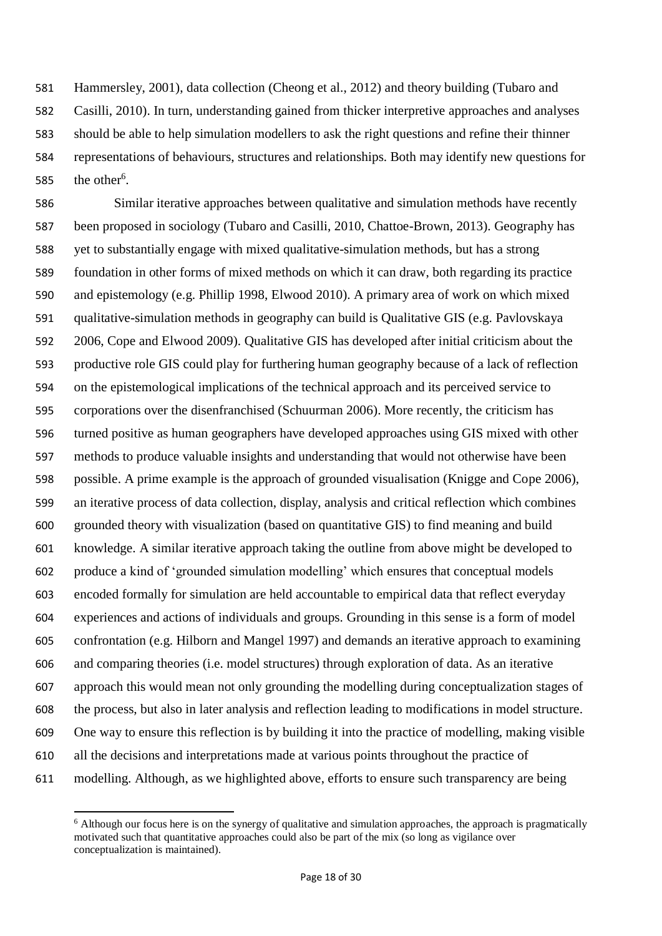Hammersley, 2001), data collection (Cheong et al., 2012) and theory building (Tubaro and Casilli, 2010). In turn, understanding gained from thicker interpretive approaches and analyses should be able to help simulation modellers to ask the right questions and refine their thinner representations of behaviours, structures and relationships. Both may identify new questions for 585 the other<sup>6</sup>.

 Similar iterative approaches between qualitative and simulation methods have recently been proposed in sociology (Tubaro and Casilli, 2010, Chattoe-Brown, 2013). Geography has yet to substantially engage with mixed qualitative-simulation methods, but has a strong foundation in other forms of mixed methods on which it can draw, both regarding its practice and epistemology (e.g. Phillip 1998, Elwood 2010). A primary area of work on which mixed qualitative-simulation methods in geography can build is Qualitative GIS (e.g. Pavlovskaya 2006, Cope and Elwood 2009). Qualitative GIS has developed after initial criticism about the productive role GIS could play for furthering human geography because of a lack of reflection on the epistemological implications of the technical approach and its perceived service to corporations over the disenfranchised (Schuurman 2006). More recently, the criticism has turned positive as human geographers have developed approaches using GIS mixed with other methods to produce valuable insights and understanding that would not otherwise have been possible. A prime example is the approach of grounded visualisation (Knigge and Cope 2006), an iterative process of data collection, display, analysis and critical reflection which combines grounded theory with visualization (based on quantitative GIS) to find meaning and build knowledge. A similar iterative approach taking the outline from above might be developed to produce a kind of 'grounded simulation modelling' which ensures that conceptual models encoded formally for simulation are held accountable to empirical data that reflect everyday experiences and actions of individuals and groups. Grounding in this sense is a form of model confrontation (e.g. Hilborn and Mangel 1997) and demands an iterative approach to examining and comparing theories (i.e. model structures) through exploration of data. As an iterative approach this would mean not only grounding the modelling during conceptualization stages of the process, but also in later analysis and reflection leading to modifications in model structure. One way to ensure this reflection is by building it into the practice of modelling, making visible all the decisions and interpretations made at various points throughout the practice of modelling. Although, as we highlighted above, efforts to ensure such transparency are being

 $\overline{a}$ 

 Although our focus here is on the synergy of qualitative and simulation approaches, the approach is pragmatically motivated such that quantitative approaches could also be part of the mix (so long as vigilance over conceptualization is maintained).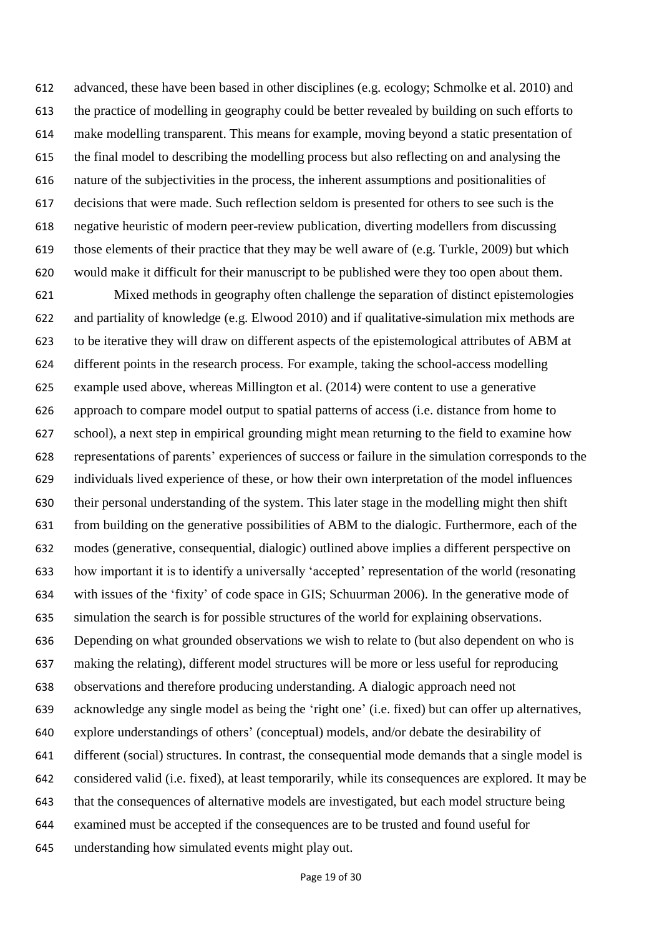advanced, these have been based in other disciplines (e.g. ecology; Schmolke et al. 2010) and the practice of modelling in geography could be better revealed by building on such efforts to make modelling transparent. This means for example, moving beyond a static presentation of the final model to describing the modelling process but also reflecting on and analysing the nature of the subjectivities in the process, the inherent assumptions and positionalities of decisions that were made. Such reflection seldom is presented for others to see such is the negative heuristic of modern peer-review publication, diverting modellers from discussing those elements of their practice that they may be well aware of (e.g. Turkle, 2009) but which would make it difficult for their manuscript to be published were they too open about them.

 Mixed methods in geography often challenge the separation of distinct epistemologies and partiality of knowledge (e.g. Elwood 2010) and if qualitative-simulation mix methods are to be iterative they will draw on different aspects of the epistemological attributes of ABM at different points in the research process. For example, taking the school-access modelling example used above, whereas Millington et al. (2014) were content to use a generative approach to compare model output to spatial patterns of access (i.e. distance from home to school), a next step in empirical grounding might mean returning to the field to examine how representations of parents' experiences of success or failure in the simulation corresponds to the individuals lived experience of these, or how their own interpretation of the model influences their personal understanding of the system. This later stage in the modelling might then shift from building on the generative possibilities of ABM to the dialogic. Furthermore, each of the modes (generative, consequential, dialogic) outlined above implies a different perspective on how important it is to identify a universally 'accepted' representation of the world (resonating with issues of the 'fixity' of code space in GIS; Schuurman 2006). In the generative mode of simulation the search is for possible structures of the world for explaining observations. Depending on what grounded observations we wish to relate to (but also dependent on who is making the relating), different model structures will be more or less useful for reproducing observations and therefore producing understanding. A dialogic approach need not acknowledge any single model as being the 'right one' (i.e. fixed) but can offer up alternatives, explore understandings of others' (conceptual) models, and/or debate the desirability of different (social) structures. In contrast, the consequential mode demands that a single model is considered valid (i.e. fixed), at least temporarily, while its consequences are explored. It may be that the consequences of alternative models are investigated, but each model structure being examined must be accepted if the consequences are to be trusted and found useful for understanding how simulated events might play out.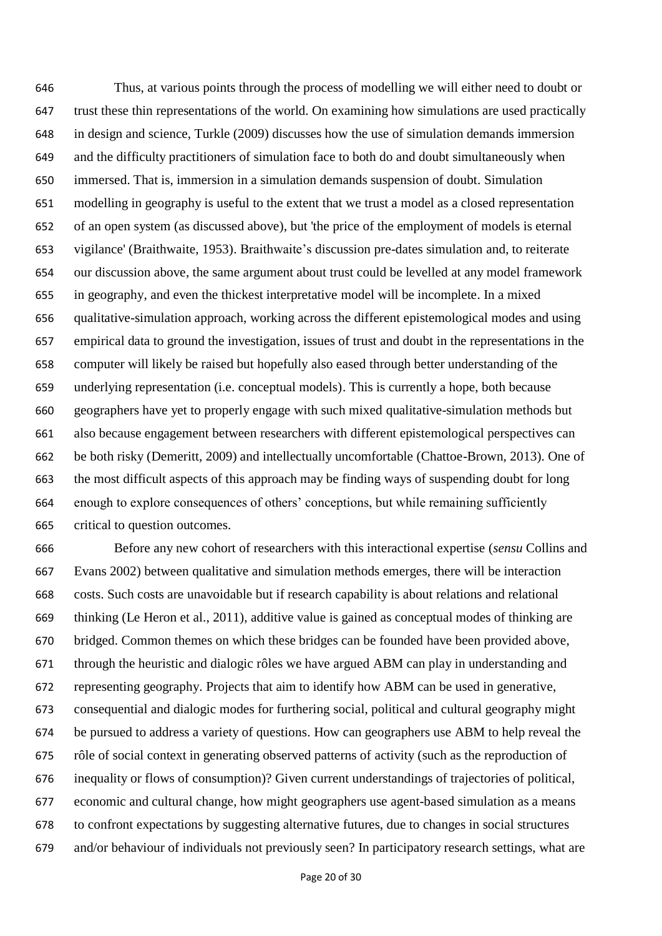Thus, at various points through the process of modelling we will either need to doubt or trust these thin representations of the world. On examining how simulations are used practically in design and science, Turkle (2009) discusses how the use of simulation demands immersion and the difficulty practitioners of simulation face to both do and doubt simultaneously when immersed. That is, immersion in a simulation demands suspension of doubt. Simulation modelling in geography is useful to the extent that we trust a model as a closed representation of an open system (as discussed above), but 'the price of the employment of models is eternal vigilance' (Braithwaite, 1953). Braithwaite's discussion pre-dates simulation and, to reiterate our discussion above, the same argument about trust could be levelled at any model framework in geography, and even the thickest interpretative model will be incomplete. In a mixed qualitative-simulation approach, working across the different epistemological modes and using empirical data to ground the investigation, issues of trust and doubt in the representations in the computer will likely be raised but hopefully also eased through better understanding of the underlying representation (i.e. conceptual models). This is currently a hope, both because geographers have yet to properly engage with such mixed qualitative-simulation methods but also because engagement between researchers with different epistemological perspectives can be both risky (Demeritt, 2009) and intellectually uncomfortable (Chattoe-Brown, 2013). One of the most difficult aspects of this approach may be finding ways of suspending doubt for long enough to explore consequences of others' conceptions, but while remaining sufficiently critical to question outcomes.

 Before any new cohort of researchers with this interactional expertise (*sensu* Collins and Evans 2002) between qualitative and simulation methods emerges, there will be interaction costs. Such costs are unavoidable but if research capability is about relations and relational thinking (Le Heron et al., 2011), additive value is gained as conceptual modes of thinking are bridged. Common themes on which these bridges can be founded have been provided above, through the heuristic and dialogic rôles we have argued ABM can play in understanding and representing geography. Projects that aim to identify how ABM can be used in generative, consequential and dialogic modes for furthering social, political and cultural geography might be pursued to address a variety of questions. How can geographers use ABM to help reveal the rôle of social context in generating observed patterns of activity (such as the reproduction of inequality or flows of consumption)? Given current understandings of trajectories of political, economic and cultural change, how might geographers use agent-based simulation as a means to confront expectations by suggesting alternative futures, due to changes in social structures and/or behaviour of individuals not previously seen? In participatory research settings, what are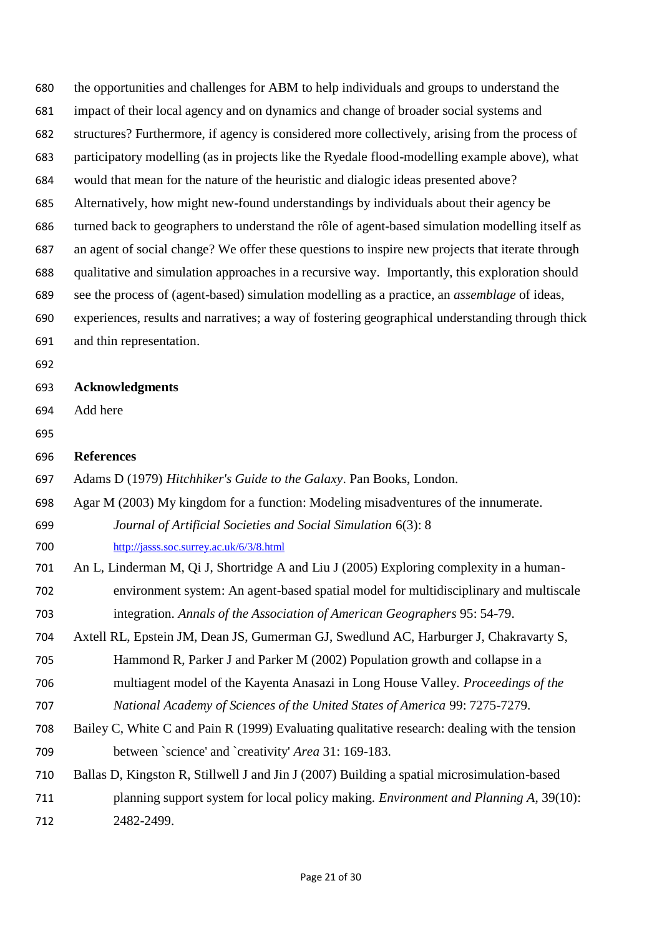- the opportunities and challenges for ABM to help individuals and groups to understand the impact of their local agency and on dynamics and change of broader social systems and structures? Furthermore, if agency is considered more collectively, arising from the process of participatory modelling (as in projects like the Ryedale flood-modelling example above), what would that mean for the nature of the heuristic and dialogic ideas presented above? Alternatively, how might new-found understandings by individuals about their agency be turned back to geographers to understand the rôle of agent-based simulation modelling itself as an agent of social change? We offer these questions to inspire new projects that iterate through qualitative and simulation approaches in a recursive way. Importantly, this exploration should see the process of (agent-based) simulation modelling as a practice, an *assemblage* of ideas, experiences, results and narratives; a way of fostering geographical understanding through thick and thin representation.
- **Acknowledgments**
- Add here
- 
- **References**
- Adams D (1979) *Hitchhiker's Guide to the Galaxy*. Pan Books, London.
- Agar M (2003) My kingdom for a function: Modeling misadventures of the innumerate.
- *Journal of Artificial Societies and Social Simulation* 6(3): 8 <http://jasss.soc.surrey.ac.uk/6/3/8.html>
- An L, Linderman M, Qi J, Shortridge A and Liu J (2005) Exploring complexity in a human- environment system: An agent-based spatial model for multidisciplinary and multiscale integration. *Annals of the Association of American Geographers* 95: 54-79.
- Axtell RL, Epstein JM, Dean JS, Gumerman GJ, Swedlund AC, Harburger J, Chakravarty S, Hammond R, Parker J and Parker M (2002) Population growth and collapse in a
- multiagent model of the Kayenta Anasazi in Long House Valley. *Proceedings of the National Academy of Sciences of the United States of America* 99: 7275-7279.
- Bailey C, White C and Pain R (1999) Evaluating qualitative research: dealing with the tension between `science' and `creativity' *Area* 31: 169-183.
- Ballas D, Kingston R, Stillwell J and Jin J (2007) Building a spatial microsimulation-based
- planning support system for local policy making. *Environment and Planning A*, 39(10): 2482-2499.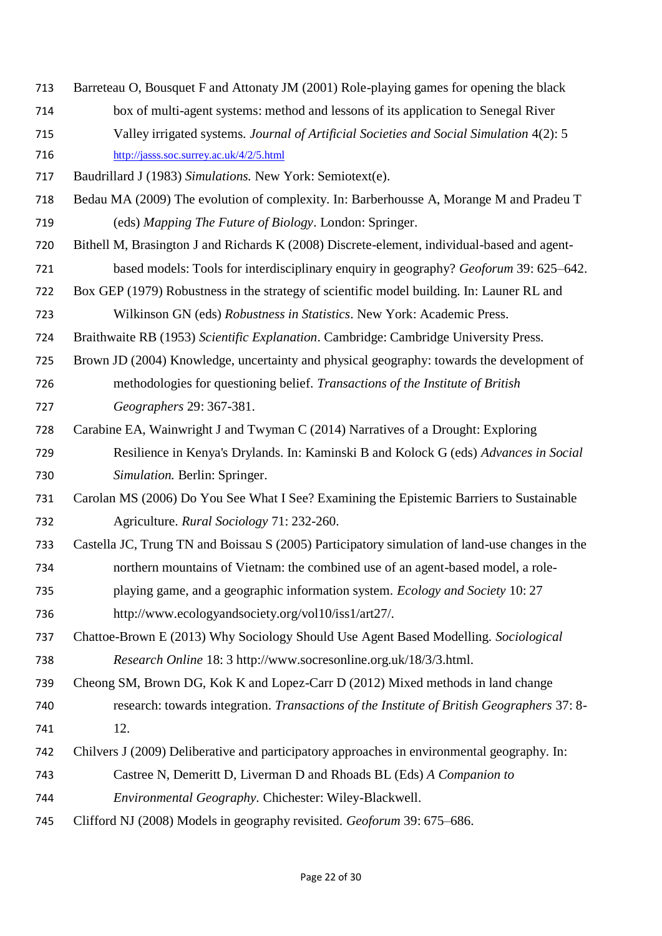- Barreteau O, Bousquet F and Attonaty JM (2001) Role-playing games for opening the black
- box of multi-agent systems: method and lessons of its application to Senegal River
- Valley irrigated systems. *Journal of Artificial Societies and Social Simulation* 4(2): 5 <http://jasss.soc.surrey.ac.uk/4/2/5.html>
- Baudrillard J (1983) *Simulations.* New York: Semiotext(e).
- Bedau MA (2009) The evolution of complexity. In: Barberhousse A, Morange M and Pradeu T (eds) *Mapping The Future of Biology*. London: Springer.
- Bithell M, Brasington J and Richards K (2008) Discrete-element, individual-based and agent-based models: Tools for interdisciplinary enquiry in geography? *Geoforum* 39: 625–642.
- Box GEP (1979) Robustness in the strategy of scientific model building. In: Launer RL and Wilkinson GN (eds) *Robustness in Statistics*. New York: Academic Press.
- Braithwaite RB (1953) *Scientific Explanation*. Cambridge: Cambridge University Press.
- Brown JD (2004) Knowledge, uncertainty and physical geography: towards the development of methodologies for questioning belief. *Transactions of the Institute of British Geographers* 29: 367-381.
- Carabine EA, Wainwright J and Twyman C (2014) Narratives of a Drought: Exploring Resilience in Kenya's Drylands. In: Kaminski B and Kolock G (eds) *Advances in Social Simulation.* Berlin: Springer.
- Carolan MS (2006) Do You See What I See? Examining the Epistemic Barriers to Sustainable Agriculture. *Rural Sociology* 71: 232-260.
- Castella JC, Trung TN and Boissau S (2005) Participatory simulation of land-use changes in the northern mountains of Vietnam: the combined use of an agent-based model, a role- playing game, and a geographic information system. *Ecology and Society* 10: 27 http://www.ecologyandsociety.org/vol10/iss1/art27/.
- Chattoe-Brown E (2013) Why Sociology Should Use Agent Based Modelling. *Sociological Research Online* 18: 3 http://www.socresonline.org.uk/18/3/3.html.
- Cheong SM, Brown DG, Kok K and Lopez-Carr D (2012) Mixed methods in land change research: towards integration. *Transactions of the Institute of British Geographers* 37: 8-
- 12.
- Chilvers J (2009) Deliberative and participatory approaches in environmental geography. In:
- Castree N, Demeritt D, Liverman D and Rhoads BL (Eds) *A Companion to*
- *Environmental Geography.* Chichester: Wiley-Blackwell.
- Clifford NJ (2008) Models in geography revisited. *Geoforum* 39: 675–686.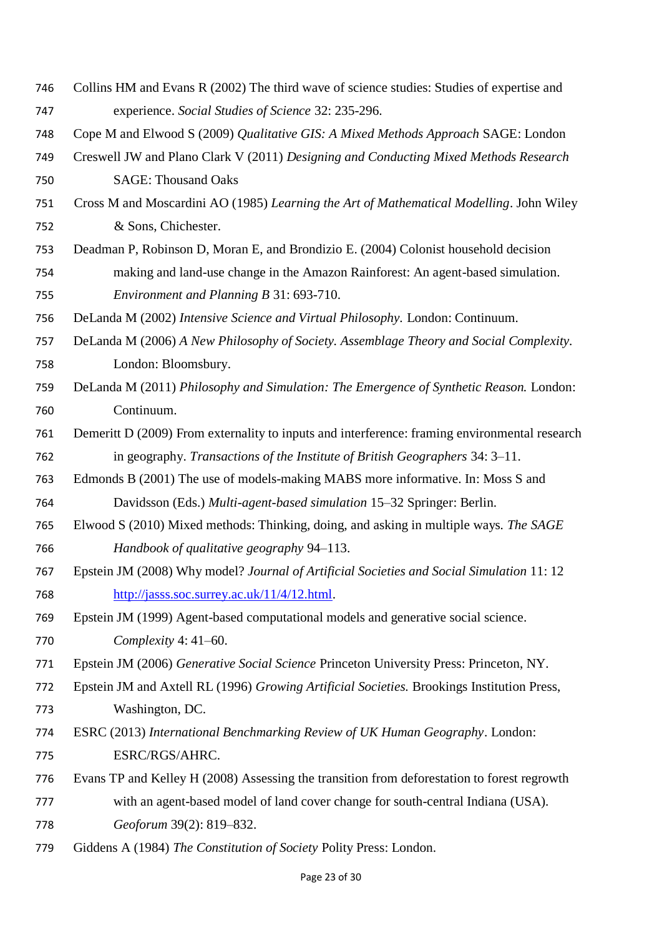- Collins HM and Evans R (2002) The third wave of science studies: Studies of expertise and experience. *Social Studies of Science* 32: 235-296.
- Cope M and Elwood S (2009) *Qualitative GIS: A Mixed Methods Approach* SAGE: London
- Creswell JW and Plano Clark V (2011) *Designing and Conducting Mixed Methods Research* SAGE: Thousand Oaks
- Cross M and Moscardini AO (1985) *Learning the Art of Mathematical Modelling*. John Wiley & Sons, Chichester.
- Deadman P, Robinson D, Moran E, and Brondizio E. (2004) Colonist household decision making and land-use change in the Amazon Rainforest: An agent-based simulation. *Environment and Planning B* 31: 693-710.
- DeLanda M (2002) *Intensive Science and Virtual Philosophy.* London: Continuum.
- DeLanda M (2006) *A New Philosophy of Society. Assemblage Theory and Social Complexity.* London: Bloomsbury.
- DeLanda M (2011) *Philosophy and Simulation: The Emergence of Synthetic Reason.* London: Continuum.
- Demeritt D (2009) From externality to inputs and interference: framing environmental research in geography. *Transactions of the Institute of British Geographers* 34: 3–11.
- Edmonds B (2001) The use of models-making MABS more informative. In: Moss S and Davidsson (Eds.) *Multi-agent-based simulation* 15–32 Springer: Berlin.
- Elwood S (2010) Mixed methods: Thinking, doing, and asking in multiple ways. *The SAGE Handbook of qualitative geography* 94–113.
- Epstein JM (2008) Why model? *Journal of Artificial Societies and Social Simulation* 11: 12 [http://jasss.soc.surrey.ac.uk/11/4/12.html.](http://jasss.soc.surrey.ac.uk/11/4/12.html)
- Epstein JM (1999) Agent-based computational models and generative social science. *Complexity* 4: 41–60.
- Epstein JM (2006) *Generative Social Science* Princeton University Press: Princeton, NY.
- Epstein JM and Axtell RL (1996) *Growing Artificial Societies.* Brookings Institution Press, Washington, DC.
- ESRC (2013) *International Benchmarking Review of UK Human Geography*. London: ESRC/RGS/AHRC.
- Evans TP and Kelley H (2008) Assessing the transition from deforestation to forest regrowth with an agent-based model of land cover change for south-central Indiana (USA). *Geoforum* 39(2): 819–832.
- Giddens A (1984) *The Constitution of Society* Polity Press: London.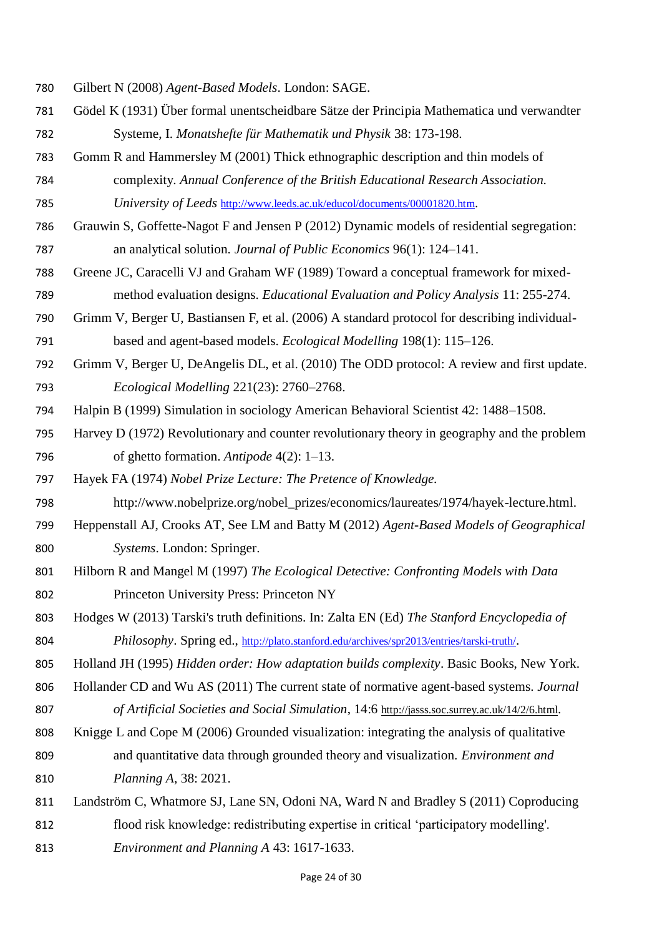- Gilbert N (2008) *Agent-Based Models*. London: SAGE.
- Gödel K (1931) Über formal unentscheidbare Sätze der Principia Mathematica und verwandter Systeme, I. *Monatshefte für Mathematik und Physik* 38: 173-198.
- Gomm R and Hammersley M (2001) Thick ethnographic description and thin models of complexity. *Annual Conference of the British Educational Research Association.*
- *University of Leeds* <http://www.leeds.ac.uk/educol/documents/00001820.htm>.
- Grauwin S, Goffette-Nagot F and Jensen P (2012) Dynamic models of residential segregation: an analytical solution. *Journal of Public Economics* 96(1): 124–141.
- Greene JC, Caracelli VJ and Graham WF (1989) Toward a conceptual framework for mixed-method evaluation designs. *Educational Evaluation and Policy Analysis* 11: 255-274.
- Grimm V, Berger U, Bastiansen F, et al. (2006) A standard protocol for describing individual-based and agent-based models. *Ecological Modelling* 198(1): 115–126.
- Grimm V, Berger U, DeAngelis DL, et al. (2010) The ODD protocol: A review and first update. *Ecological Modelling* 221(23): 2760–2768.
- Halpin B (1999) Simulation in sociology American Behavioral Scientist 42: 1488–1508.
- Harvey D (1972) Revolutionary and counter revolutionary theory in geography and the problem of ghetto formation. *Antipode* 4(2): 1–13.

Hayek FA (1974) *Nobel Prize Lecture: The Pretence of Knowledge.*

- http://www.nobelprize.org/nobel\_prizes/economics/laureates/1974/hayek-lecture.html.
- Heppenstall AJ, Crooks AT, See LM and Batty M (2012) *Agent-Based Models of Geographical Systems*. London: Springer.
- Hilborn R and Mangel M (1997) *The Ecological Detective: Confronting Models with Data* Princeton University Press: Princeton NY
- Hodges W (2013) Tarski's truth definitions. In: Zalta EN (Ed) *The Stanford Encyclopedia of Philosophy*. Spring ed., <http://plato.stanford.edu/archives/spr2013/entries/tarski-truth/>.
- Holland JH (1995) *Hidden order: How adaptation builds complexity*. Basic Books, New York.
- Hollander CD and Wu AS (2011) The current state of normative agent-based systems. *Journal of Artificial Societies and Social Simulation*, 14:6 <http://jasss.soc.surrey.ac.uk/14/2/6.html>.
- Knigge L and Cope M (2006) Grounded visualization: integrating the analysis of qualitative and quantitative data through grounded theory and visualization. *Environment and Planning A*, 38: 2021.
- Landström C, Whatmore SJ, Lane SN, Odoni NA, Ward N and Bradley S (2011) Coproducing flood risk knowledge: redistributing expertise in critical 'participatory modelling'. *Environment and Planning A* 43: 1617-1633.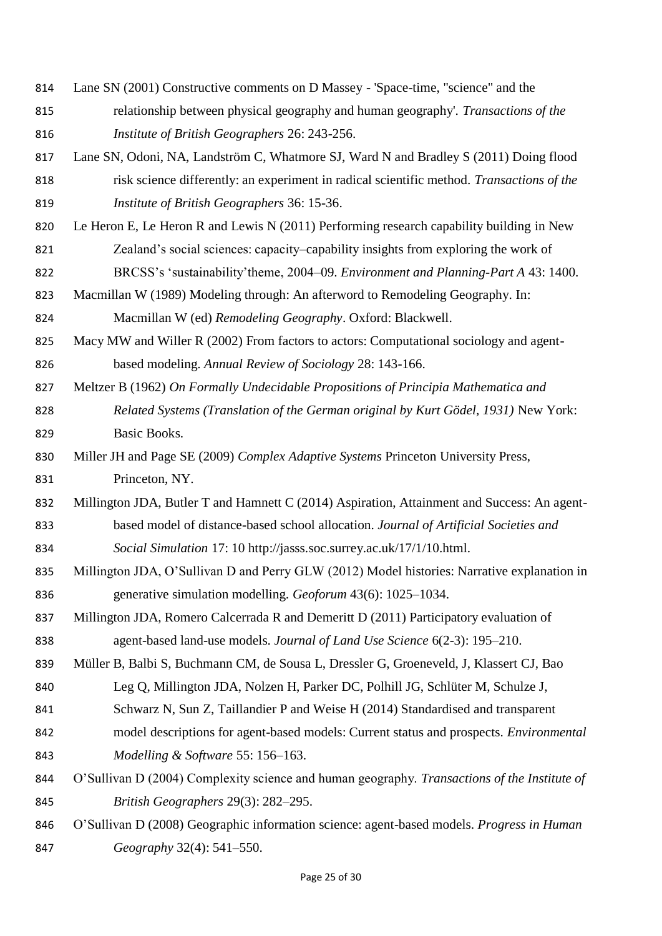- Lane SN (2001) Constructive comments on D Massey 'Space-time, "science" and the relationship between physical geography and human geography'. *Transactions of the Institute of British Geographers* 26: 243-256.
- Lane SN, Odoni, NA, Landström C, Whatmore SJ, Ward N and Bradley S (2011) Doing flood risk science differently: an experiment in radical scientific method. *Transactions of the Institute of British Geographers* 36: 15-36.
- Le Heron E, Le Heron R and Lewis N (2011) Performing research capability building in New Zealand's social sciences: capacity–capability insights from exploring the work of
- BRCSS's 'sustainability'theme, 2004–09. *Environment and Planning-Part A* 43: 1400.
- Macmillan W (1989) Modeling through: An afterword to Remodeling Geography. In:

Macmillan W (ed) *Remodeling Geography*. Oxford: Blackwell.

- Macy MW and Willer R (2002) From factors to actors: Computational sociology and agent-based modeling. *Annual Review of Sociology* 28: 143-166.
- Meltzer B (1962) *On Formally Undecidable Propositions of Principia Mathematica and Related Systems (Translation of the German original by Kurt Gödel, 1931)* New York: Basic Books.
- Miller JH and Page SE (2009) *Complex Adaptive Systems* Princeton University Press, Princeton, NY.
- Millington JDA, Butler T and Hamnett C (2014) Aspiration, Attainment and Success: An agent- based model of distance-based school allocation. *Journal of Artificial Societies and Social Simulation* 17: 10 http://jasss.soc.surrey.ac.uk/17/1/10.html.
- Millington JDA, O'Sullivan D and Perry GLW (2012) Model histories: Narrative explanation in generative simulation modelling. *Geoforum* 43(6): 1025–1034.
- Millington JDA, Romero Calcerrada R and Demeritt D (2011) Participatory evaluation of agent-based land-use models. *Journal of Land Use Science* 6(2-3): 195–210.
- Müller B, Balbi S, Buchmann CM, de Sousa L, Dressler G, Groeneveld, J, Klassert CJ, Bao
- Leg Q, Millington JDA, Nolzen H, Parker DC, Polhill JG, Schlüter M, Schulze J,
- Schwarz N, Sun Z, Taillandier P and Weise H (2014) Standardised and transparent
- model descriptions for agent-based models: Current status and prospects. *Environmental Modelling & Software* 55: 156–163.
- O'Sullivan D (2004) Complexity science and human geography. *Transactions of the Institute of British Geographers* 29(3): 282–295.
- O'Sullivan D (2008) Geographic information science: agent-based models. *Progress in Human Geography* 32(4): 541–550.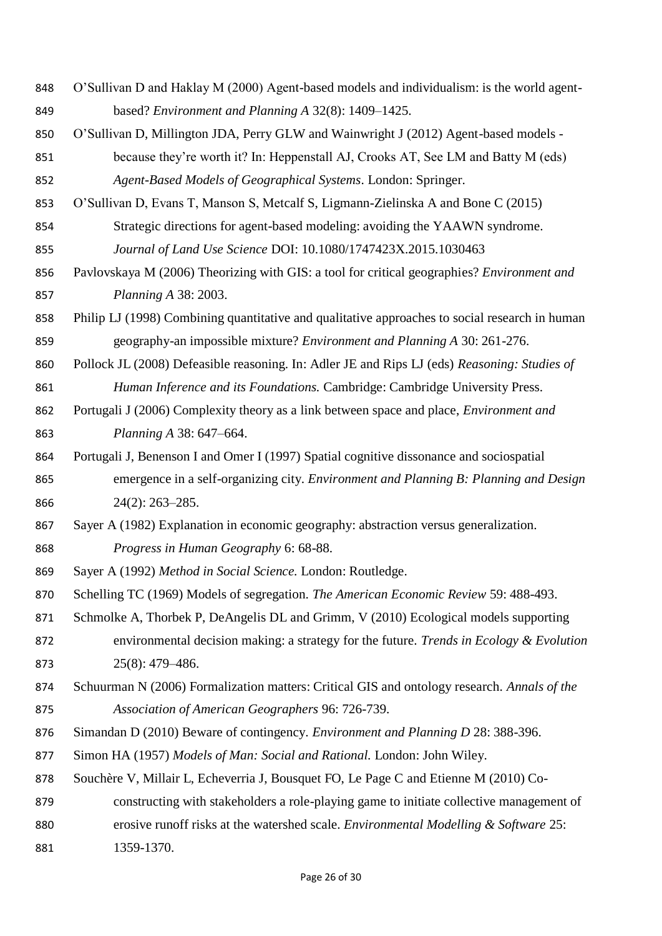- O'Sullivan D and Haklay M (2000) Agent-based models and individualism: is the world agent-based? *Environment and Planning A* 32(8): 1409–1425.
- O'Sullivan D, Millington JDA, Perry GLW and Wainwright J (2012) Agent-based models -
- because they're worth it? In: Heppenstall AJ, Crooks AT, See LM and Batty M (eds) *Agent-Based Models of Geographical Systems*. London: Springer.
- O'Sullivan D, Evans T, Manson S, Metcalf S, Ligmann-Zielinska A and Bone C (2015) Strategic directions for agent-based modeling: avoiding the YAAWN syndrome.
- *Journal of Land Use Science* DOI: 10.1080/1747423X.2015.1030463
- Pavlovskaya M (2006) Theorizing with GIS: a tool for critical geographies? *Environment and Planning A* 38: 2003.
- Philip LJ (1998) Combining quantitative and qualitative approaches to social research in human geography-an impossible mixture? *Environment and Planning A* 30: 261-276.
- Pollock JL (2008) Defeasible reasoning. In: Adler JE and Rips LJ (eds) *Reasoning: Studies of Human Inference and its Foundations.* Cambridge: Cambridge University Press.
- Portugali J (2006) Complexity theory as a link between space and place, *Environment and Planning A* 38: 647–664.
- Portugali J, Benenson I and Omer I (1997) Spatial cognitive dissonance and sociospatial emergence in a self-organizing city. *Environment and Planning B: Planning and Design* 24(2): 263–285.
- Sayer A (1982) Explanation in economic geography: abstraction versus generalization. *Progress in Human Geography* 6: 68-88.
- Sayer A (1992) *Method in Social Science.* London: Routledge.
- Schelling TC (1969) Models of segregation. *The American Economic Review* 59: 488-493.
- 871 Schmolke A, Thorbek P, DeAngelis DL and Grimm, V (2010) Ecological models supporting environmental decision making: a strategy for the future. *Trends in Ecology & Evolution* 25(8): 479–486.
- Schuurman N (2006) Formalization matters: Critical GIS and ontology research. *Annals of the Association of American Geographers* 96: 726-739.
- Simandan D (2010) Beware of contingency. *Environment and Planning D* 28: 388-396.
- Simon HA (1957) *Models of Man: Social and Rational.* London: John Wiley.
- Souchère V, Millair L, Echeverria J, Bousquet FO, Le Page C and Etienne M (2010) Co-
- constructing with stakeholders a role-playing game to initiate collective management of
- erosive runoff risks at the watershed scale. *Environmental Modelling & Software* 25:
- 1359-1370.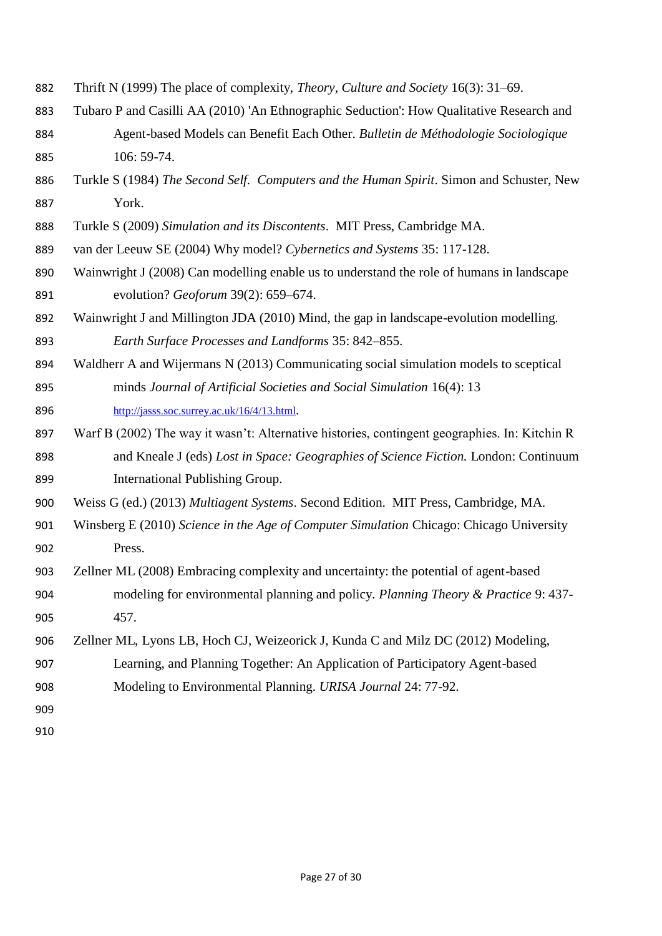- Thrift N (1999) The place of complexity, *Theory, Culture and Society* 16(3): 31–69.
- Tubaro P and Casilli AA (2010) 'An Ethnographic Seduction': How Qualitative Research and Agent-based Models can Benefit Each Other. *Bulletin de Méthodologie Sociologique* 106: 59-74.
- Turkle S (1984) *The Second Self. Computers and the Human Spirit*. Simon and Schuster, New York.
- Turkle S (2009) *Simulation and its Discontents*. MIT Press, Cambridge MA.
- van der Leeuw SE (2004) Why model? *Cybernetics and Systems* 35: 117-128.
- Wainwright J (2008) Can modelling enable us to understand the role of humans in landscape evolution? *Geoforum* 39(2): 659–674.
- Wainwright J and Millington JDA (2010) Mind, the gap in landscape-evolution modelling. *Earth Surface Processes and Landforms* 35: 842–855.
- Waldherr A and Wijermans N (2013) Communicating social simulation models to sceptical minds *Journal of Artificial Societies and Social Simulation* 16(4): 13 <http://jasss.soc.surrey.ac.uk/16/4/13.html>.
- Warf B (2002) The way it wasn't: Alternative histories, contingent geographies. In: Kitchin R and Kneale J (eds) *Lost in Space: Geographies of Science Fiction.* London: Continuum International Publishing Group.
- Weiss G (ed.) (2013) *Multiagent Systems*. Second Edition. MIT Press, Cambridge, MA.
- Winsberg E (2010) *Science in the Age of Computer Simulation* Chicago: Chicago University Press.
- Zellner ML (2008) Embracing complexity and uncertainty: the potential of agent-based modeling for environmental planning and policy. *Planning Theory & Practice* 9: 437- 457.
- Zellner ML, Lyons LB, Hoch CJ, Weizeorick J, Kunda C and Milz DC (2012) Modeling, Learning, and Planning Together: An Application of Participatory Agent-based Modeling to Environmental Planning. *URISA Journal* 24: 77-92.
-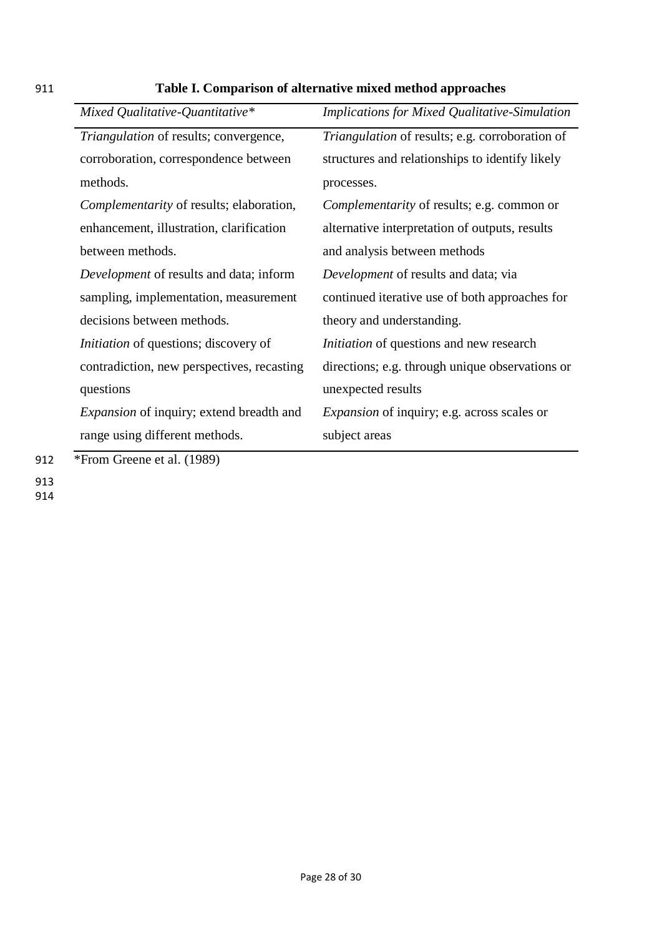| Mixed Qualitative-Quantitative*                                                      | <b>Implications for Mixed Qualitative-Simulation</b> |
|--------------------------------------------------------------------------------------|------------------------------------------------------|
| Triangulation of results; convergence,                                               | Triangulation of results; e.g. corroboration of      |
| corroboration, correspondence between                                                | structures and relationships to identify likely      |
| methods.                                                                             | processes.                                           |
| Complementarity of results; elaboration,                                             | Complementarity of results; e.g. common or           |
| enhancement, illustration, clarification                                             | alternative interpretation of outputs, results       |
| between methods.                                                                     | and analysis between methods                         |
| Development of results and data; inform                                              | Development of results and data; via                 |
| sampling, implementation, measurement                                                | continued iterative use of both approaches for       |
| decisions between methods.                                                           | theory and understanding.                            |
| <i>Initiation</i> of questions; discovery of                                         | <i>Initiation</i> of questions and new research      |
| contradiction, new perspectives, recasting                                           | directions; e.g. through unique observations or      |
| questions                                                                            | unexpected results                                   |
| <i>Expansion</i> of inquiry; extend breadth and                                      | Expansion of inquiry; e.g. across scales or          |
| range using different methods.<br>$*E_{\text{mean}}$ $C_{\text{mean}}$ at al. (1000) | subject areas                                        |

# 911 **Table I. Comparison of alternative mixed method approaches**

912 \*From Greene et al. (1989)

913

914